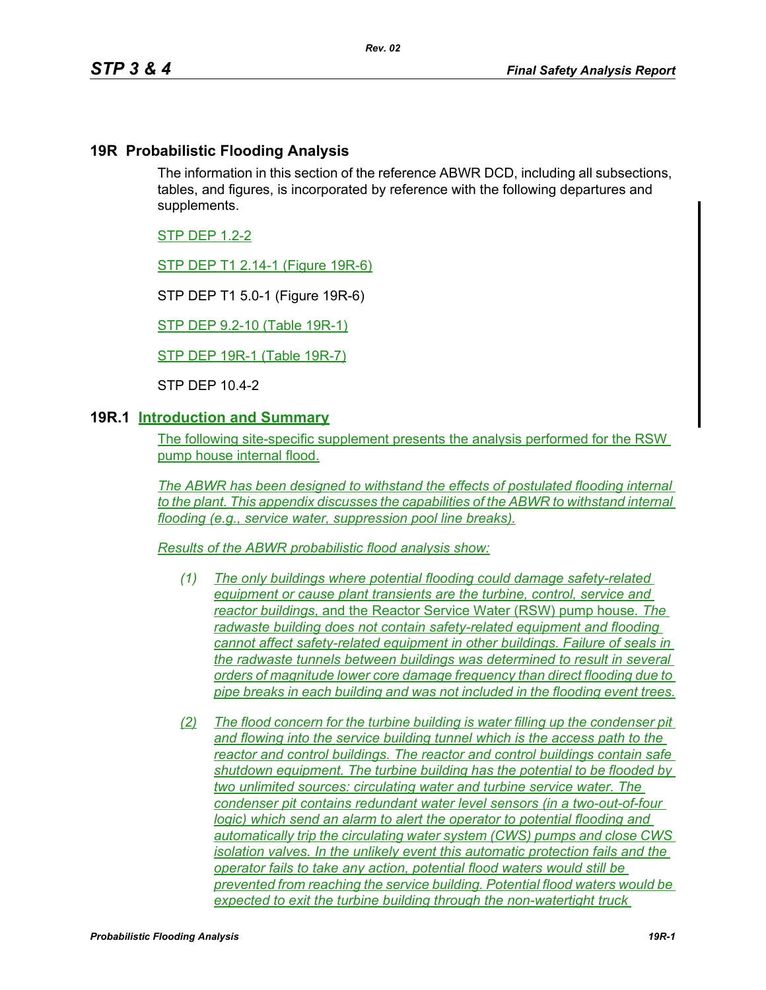### **19R Probabilistic Flooding Analysis**

The information in this section of the reference ABWR DCD, including all subsections, tables, and figures, is incorporated by reference with the following departures and supplements.

STP DEP 1.2-2

STP DEP T1 2.14-1 (Figure 19R-6)

STP DEP T1 5.0-1 (Figure 19R-6)

STP DEP 9.2-10 (Table 19R-1)

STP DEP 19R-1 (Table 19R-7)

STP DEP 10.4-2

#### **19R.1 Introduction and Summary**

The following site-specific supplement presents the analysis performed for the RSW pump house internal flood.

*The ABWR has been designed to withstand the effects of postulated flooding internal to the plant. This appendix discusses the capabilities of the ABWR to withstand internal flooding (e.g., service water, suppression pool line breaks).*

*Results of the ABWR probabilistic flood analysis show:*

- *(1) The only buildings where potential flooding could damage safety-related equipment or cause plant transients are the turbine, control, service and reactor buildings*, and the Reactor Service Water (RSW) pump house*. The radwaste building does not contain safety-related equipment and flooding cannot affect safety-related equipment in other buildings. Failure of seals in the radwaste tunnels between buildings was determined to result in several orders of magnitude lower core damage frequency than direct flooding due to pipe breaks in each building and was not included in the flooding event trees.*
- *(2) The flood concern for the turbine building is water filling up the condenser pit and flowing into the service building tunnel which is the access path to the reactor and control buildings. The reactor and control buildings contain safe shutdown equipment. The turbine building has the potential to be flooded by two unlimited sources: circulating water and turbine service water. The condenser pit contains redundant water level sensors (in a two-out-of-four logic)* which send an alarm to alert the operator to potential flooding and *automatically trip the circulating water system (CWS) pumps and close CWS isolation valves. In the unlikely event this automatic protection fails and the operator fails to take any action, potential flood waters would still be prevented from reaching the service building. Potential flood waters would be expected to exit the turbine building through the non-watertight truck*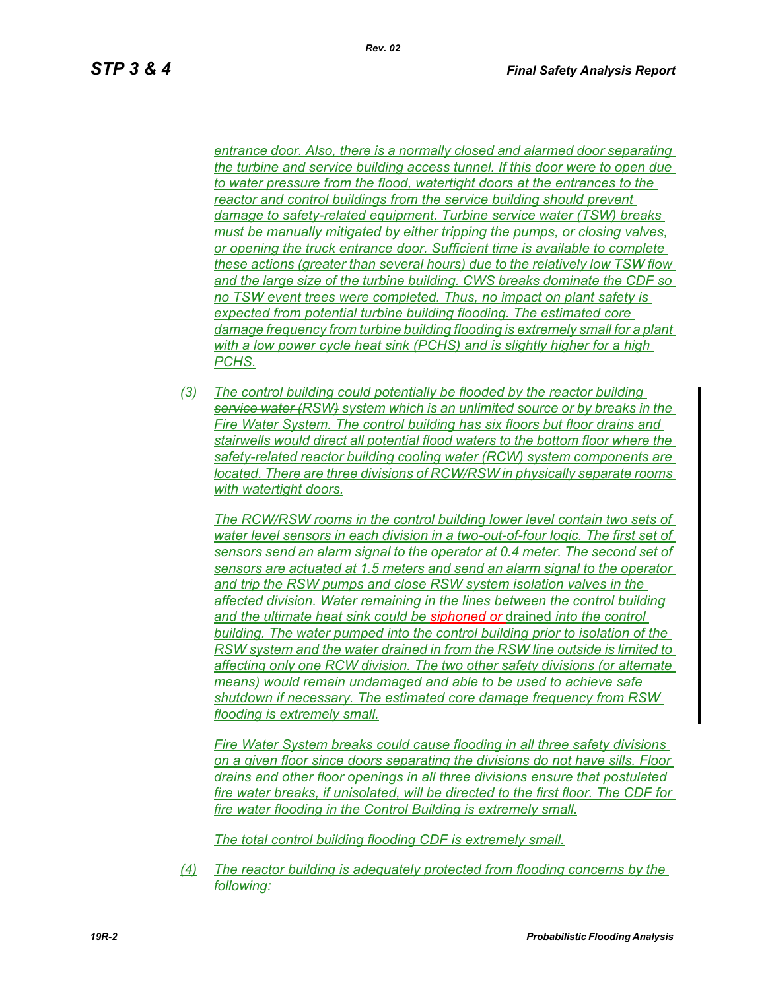*entrance door. Also, there is a normally closed and alarmed door separating the turbine and service building access tunnel. If this door were to open due to water pressure from the flood, watertight doors at the entrances to the reactor and control buildings from the service building should prevent damage to safety-related equipment. Turbine service water (TSW) breaks must be manually mitigated by either tripping the pumps, or closing valves, or opening the truck entrance door. Sufficient time is available to complete these actions (greater than several hours) due to the relatively low TSW flow and the large size of the turbine building. CWS breaks dominate the CDF so no TSW event trees were completed. Thus, no impact on plant safety is expected from potential turbine building flooding. The estimated core damage frequency from turbine building flooding is extremely small for a plant with a low power cycle heat sink (PCHS) and is slightly higher for a high PCHS.*

*(3) The control building could potentially be flooded by the reactor building service water (RSW) system which is an unlimited source or by breaks in the Fire Water System. The control building has six floors but floor drains and stairwells would direct all potential flood waters to the bottom floor where the safety-related reactor building cooling water (RCW) system components are located. There are three divisions of RCW/RSW in physically separate rooms with watertight doors.*

*The RCW/RSW rooms in the control building lower level contain two sets of water level sensors in each division in a two-out-of-four logic. The first set of sensors send an alarm signal to the operator at 0.4 meter. The second set of sensors are actuated at 1.5 meters and send an alarm signal to the operator and trip the RSW pumps and close RSW system isolation valves in the affected division. Water remaining in the lines between the control building and the ultimate heat sink could be siphoned or* drained *into the control building. The water pumped into the control building prior to isolation of the RSW system and the water drained in from the RSW line outside is limited to affecting only one RCW division. The two other safety divisions (or alternate means) would remain undamaged and able to be used to achieve safe shutdown if necessary. The estimated core damage frequency from RSW flooding is extremely small.*

*Fire Water System breaks could cause flooding in all three safety divisions on a given floor since doors separating the divisions do not have sills. Floor drains and other floor openings in all three divisions ensure that postulated fire water breaks, if unisolated, will be directed to the first floor. The CDF for fire water flooding in the Control Building is extremely small.*

*The total control building flooding CDF is extremely small.*

*(4) The reactor building is adequately protected from flooding concerns by the following:*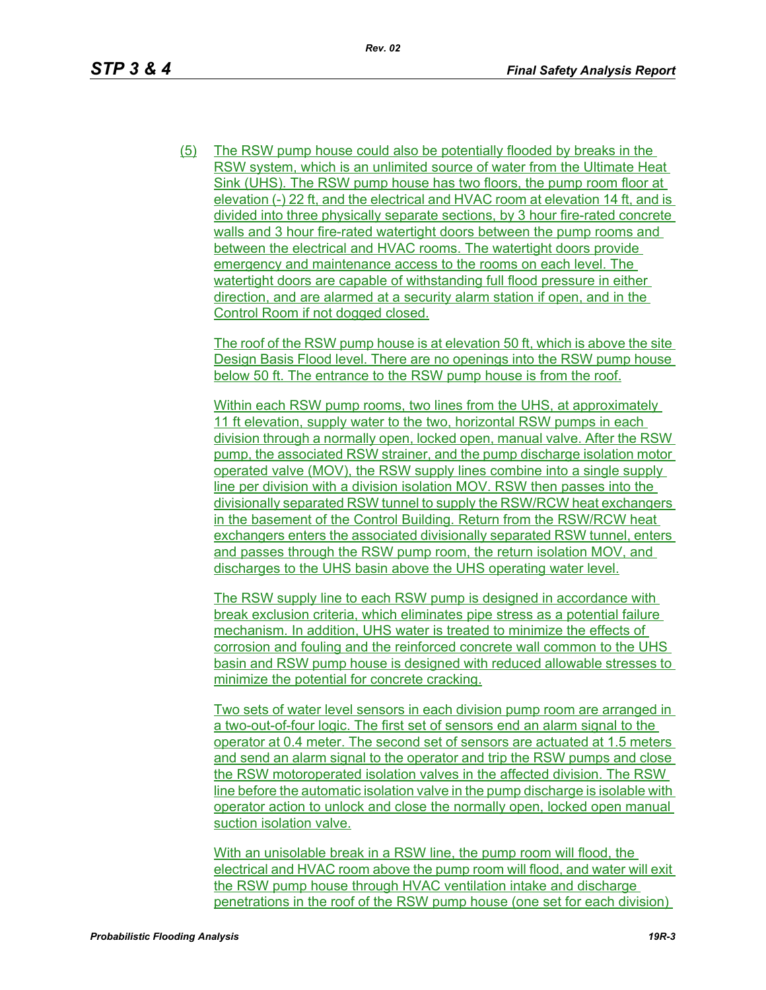(5) The RSW pump house could also be potentially flooded by breaks in the RSW system, which is an unlimited source of water from the Ultimate Heat Sink (UHS). The RSW pump house has two floors, the pump room floor at elevation (-) 22 ft, and the electrical and HVAC room at elevation 14 ft, and is divided into three physically separate sections, by 3 hour fire-rated concrete walls and 3 hour fire-rated watertight doors between the pump rooms and between the electrical and HVAC rooms. The watertight doors provide emergency and maintenance access to the rooms on each level. The watertight doors are capable of withstanding full flood pressure in either direction, and are alarmed at a security alarm station if open, and in the Control Room if not dogged closed.

The roof of the RSW pump house is at elevation 50 ft, which is above the site Design Basis Flood level. There are no openings into the RSW pump house below 50 ft. The entrance to the RSW pump house is from the roof.

Within each RSW pump rooms, two lines from the UHS, at approximately 11 ft elevation, supply water to the two, horizontal RSW pumps in each division through a normally open, locked open, manual valve. After the RSW pump, the associated RSW strainer, and the pump discharge isolation motor operated valve (MOV), the RSW supply lines combine into a single supply line per division with a division isolation MOV. RSW then passes into the divisionally separated RSW tunnel to supply the RSW/RCW heat exchangers in the basement of the Control Building. Return from the RSW/RCW heat exchangers enters the associated divisionally separated RSW tunnel, enters and passes through the RSW pump room, the return isolation MOV, and discharges to the UHS basin above the UHS operating water level.

The RSW supply line to each RSW pump is designed in accordance with break exclusion criteria, which eliminates pipe stress as a potential failure mechanism. In addition, UHS water is treated to minimize the effects of corrosion and fouling and the reinforced concrete wall common to the UHS basin and RSW pump house is designed with reduced allowable stresses to minimize the potential for concrete cracking.

Two sets of water level sensors in each division pump room are arranged in a two-out-of-four logic. The first set of sensors end an alarm signal to the operator at 0.4 meter. The second set of sensors are actuated at 1.5 meters and send an alarm signal to the operator and trip the RSW pumps and close the RSW motoroperated isolation valves in the affected division. The RSW line before the automatic isolation valve in the pump discharge is isolable with operator action to unlock and close the normally open, locked open manual suction isolation valve.

With an unisolable break in a RSW line, the pump room will flood, the electrical and HVAC room above the pump room will flood, and water will exit the RSW pump house through HVAC ventilation intake and discharge penetrations in the roof of the RSW pump house (one set for each division)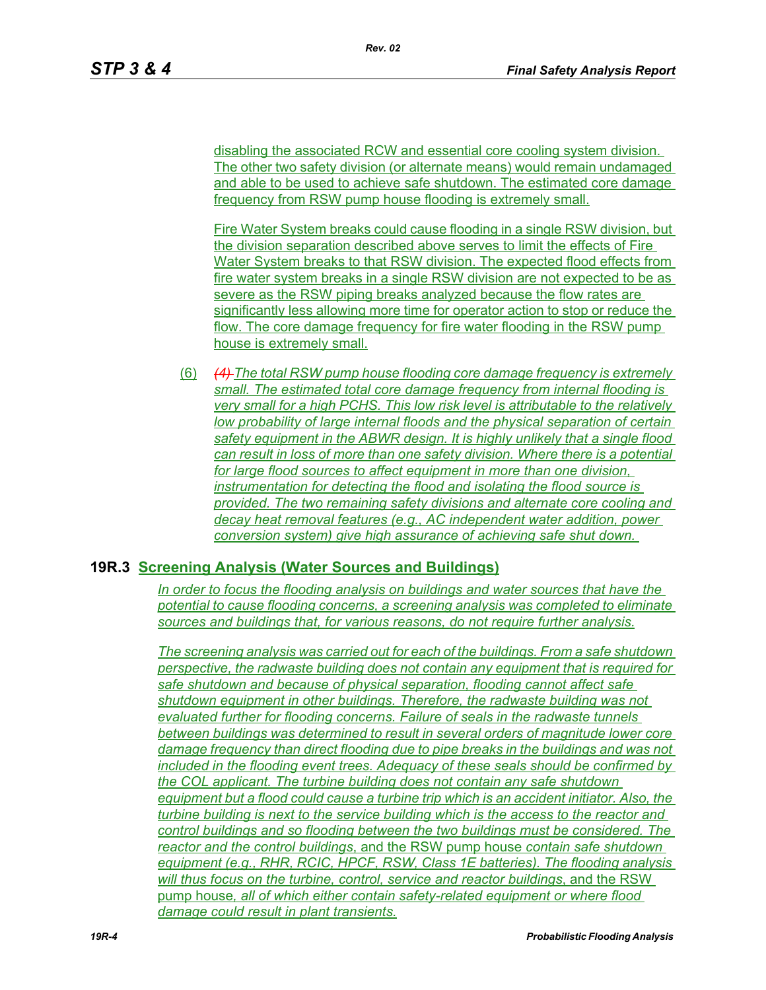disabling the associated RCW and essential core cooling system division. The other two safety division (or alternate means) would remain undamaged and able to be used to achieve safe shutdown. The estimated core damage frequency from RSW pump house flooding is extremely small.

Fire Water System breaks could cause flooding in a single RSW division, but the division separation described above serves to limit the effects of Fire Water System breaks to that RSW division. The expected flood effects from fire water system breaks in a single RSW division are not expected to be as severe as the RSW piping breaks analyzed because the flow rates are significantly less allowing more time for operator action to stop or reduce the flow. The core damage frequency for fire water flooding in the RSW pump house is extremely small.

(6) *(4) The total RSW pump house flooding core damage frequency is extremely small. The estimated total core damage frequency from internal flooding is very small for a high PCHS. This low risk level is attributable to the relatively low probability of large internal floods and the physical separation of certain safety equipment in the ABWR design. It is highly unlikely that a single flood can result in loss of more than one safety division. Where there is a potential for large flood sources to affect equipment in more than one division, instrumentation for detecting the flood and isolating the flood source is provided. The two remaining safety divisions and alternate core cooling and decay heat removal features (e.g., AC independent water addition, power conversion system) give high assurance of achieving safe shut down.*

#### **19R.3 Screening Analysis (Water Sources and Buildings)**

*In order to focus the flooding analysis on buildings and water sources that have the potential to cause flooding concerns, a screening analysis was completed to eliminate sources and buildings that, for various reasons, do not require further analysis.*

*The screening analysis was carried out for each of the buildings. From a safe shutdown perspective, the radwaste building does not contain any equipment that is required for safe shutdown and because of physical separation, flooding cannot affect safe shutdown equipment in other buildings. Therefore, the radwaste building was not evaluated further for flooding concerns. Failure of seals in the radwaste tunnels between buildings was determined to result in several orders of magnitude lower core damage frequency than direct flooding due to pipe breaks in the buildings and was not included in the flooding event trees. Adequacy of these seals should be confirmed by the COL applicant. The turbine building does not contain any safe shutdown equipment but a flood could cause a turbine trip which is an accident initiator. Also, the turbine building is next to the service building which is the access to the reactor and control buildings and so flooding between the two buildings must be considered. The reactor and the control buildings*, and the RSW pump house *contain safe shutdown equipment (e.g., RHR, RCIC, HPCF, RSW, Class 1E batteries). The flooding analysis will thus focus on the turbine, control, service and reactor buildings*, and the RSW pump house*, all of which either contain safety-related equipment or where flood damage could result in plant transients.*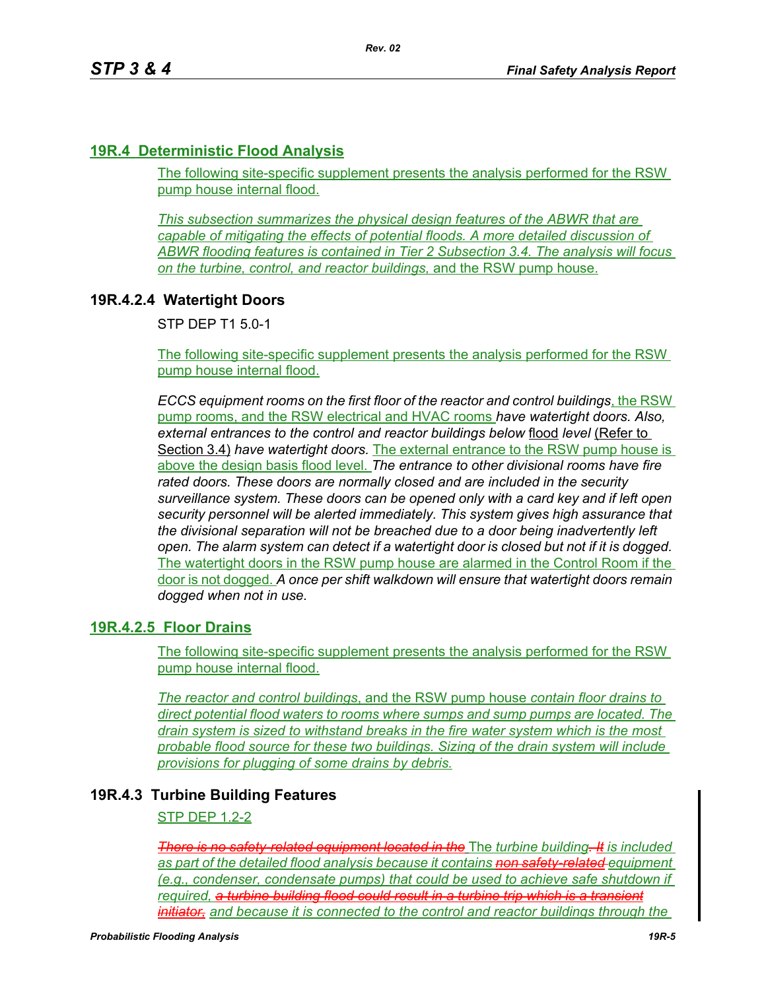# **19R.4 Deterministic Flood Analysis**

The following site-specific supplement presents the analysis performed for the RSW pump house internal flood.

*This subsection summarizes the physical design features of the ABWR that are capable of mitigating the effects of potential floods. A more detailed discussion of ABWR flooding features is contained in Tier 2 Subsection 3.4. The analysis will focus on the turbine, control, and reactor buildings,* and the RSW pump house.

# **19R.4.2.4 Watertight Doors**

STP DEP T1 5.0-1

The following site-specific supplement presents the analysis performed for the RSW pump house internal flood.

*ECCS equipment rooms on the first floor of the reactor and control buildings*, the RSW pump rooms, and the RSW electrical and HVAC rooms *have watertight doors. Also, external entrances to the control and reactor buildings below* flood *level* (Refer to Section 3.4) *have watertight doors.* The external entrance to the RSW pump house is above the design basis flood level. *The entrance to other divisional rooms have fire rated doors. These doors are normally closed and are included in the security surveillance system. These doors can be opened only with a card key and if left open security personnel will be alerted immediately. This system gives high assurance that the divisional separation will not be breached due to a door being inadvertently left open. The alarm system can detect if a watertight door is closed but not if it is dogged.*  The watertight doors in the RSW pump house are alarmed in the Control Room if the door is not dogged. *A once per shift walkdown will ensure that watertight doors remain dogged when not in use.*

# **19R.4.2.5 Floor Drains**

The following site-specific supplement presents the analysis performed for the RSW pump house internal flood.

*The reactor and control buildings*, and the RSW pump house *contain floor drains to direct potential flood waters to rooms where sumps and sump pumps are located. The drain system is sized to withstand breaks in the fire water system which is the most probable flood source for these two buildings. Sizing of the drain system will include provisions for plugging of some drains by debris.*

### **19R.4.3 Turbine Building Features**

### STP DEP 1.2-2

*There is no safety-related equipment located in the* The *turbine building. It is included as part of the detailed flood analysis because it contains non safety-related equipment (e.g., condenser, condensate pumps) that could be used to achieve safe shutdown if required, a turbine building flood could result in a turbine trip which is a transient initiator, and because it is connected to the control and reactor buildings through the*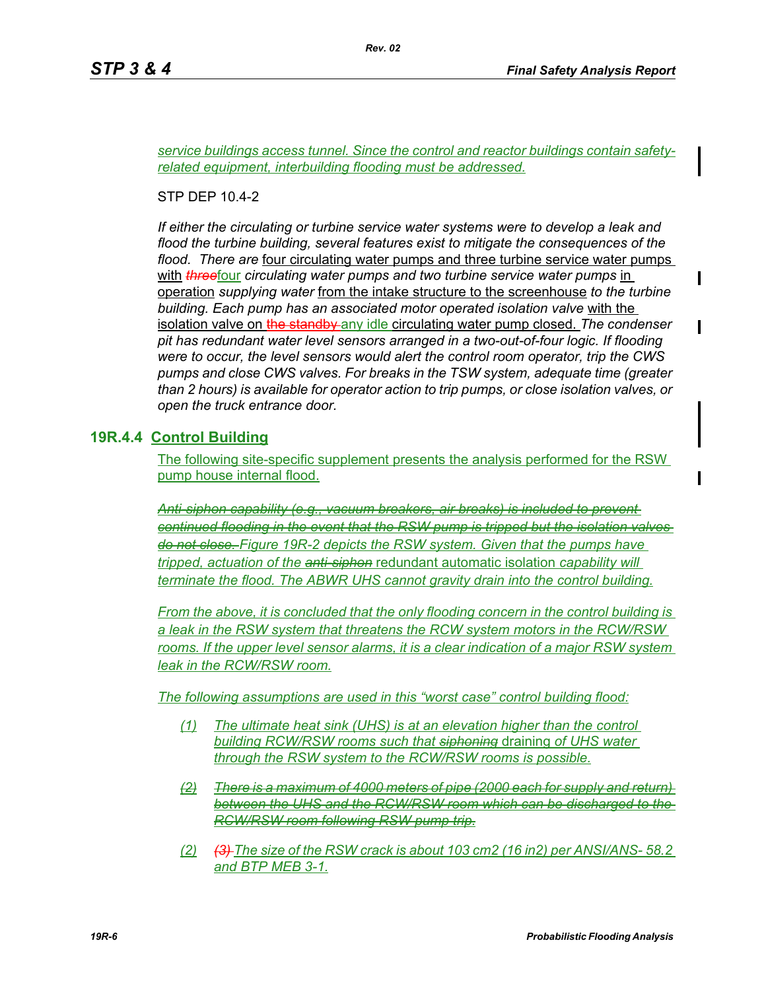Ι

*service buildings access tunnel. Since the control and reactor buildings contain safetyrelated equipment, interbuilding flooding must be addressed.*

*Rev. 02*

STP DEP 10.4-2

*If either the circulating or turbine service water systems were to develop a leak and flood the turbine building, several features exist to mitigate the consequences of the flood. There are* four circulating water pumps and three turbine service water pumps with *three*four *circulating water pumps and two turbine service water pumps* in operation *supplying water* from the intake structure to the screenhouse *to the turbine building. Each pump has an associated motor operated isolation valve* with the isolation valve on the standby any idle circulating water pump closed. *The condenser pit has redundant water level sensors arranged in a two-out-of-four logic. If flooding were to occur, the level sensors would alert the control room operator, trip the CWS pumps and close CWS valves. For breaks in the TSW system, adequate time (greater than 2 hours) is available for operator action to trip pumps, or close isolation valves, or open the truck entrance door.*

### **19R.4.4 Control Building**

The following site-specific supplement presents the analysis performed for the RSW pump house internal flood.

*Anti-siphon capability (e.g., vacuum breakers, air breaks) is included to prevent continued flooding in the event that the RSW pump is tripped but the isolation valves do not close. Figure 19R-2 depicts the RSW system. Given that the pumps have tripped, actuation of the anti-siphon* redundant automatic isolation *capability will terminate the flood. The ABWR UHS cannot gravity drain into the control building.*

*From the above, it is concluded that the only flooding concern in the control building is a leak in the RSW system that threatens the RCW system motors in the RCW/RSW rooms. If the upper level sensor alarms, it is a clear indication of a major RSW system leak in the RCW/RSW room.*

*The following assumptions are used in this "worst case" control building flood:*

- *(1) The ultimate heat sink (UHS) is at an elevation higher than the control building RCW/RSW rooms such that siphoning* draining *of UHS water through the RSW system to the RCW/RSW rooms is possible.*
- *(2) There is a maximum of 4000 meters of pipe (2000 each for supply and return) between the UHS and the RCW/RSW room which can be discharged to the RCW/RSW room following RSW pump trip.*
- *(2) (3) The size of the RSW crack is about 103 cm2 (16 in2) per ANSI/ANS- 58.2 and BTP MEB 3-1.*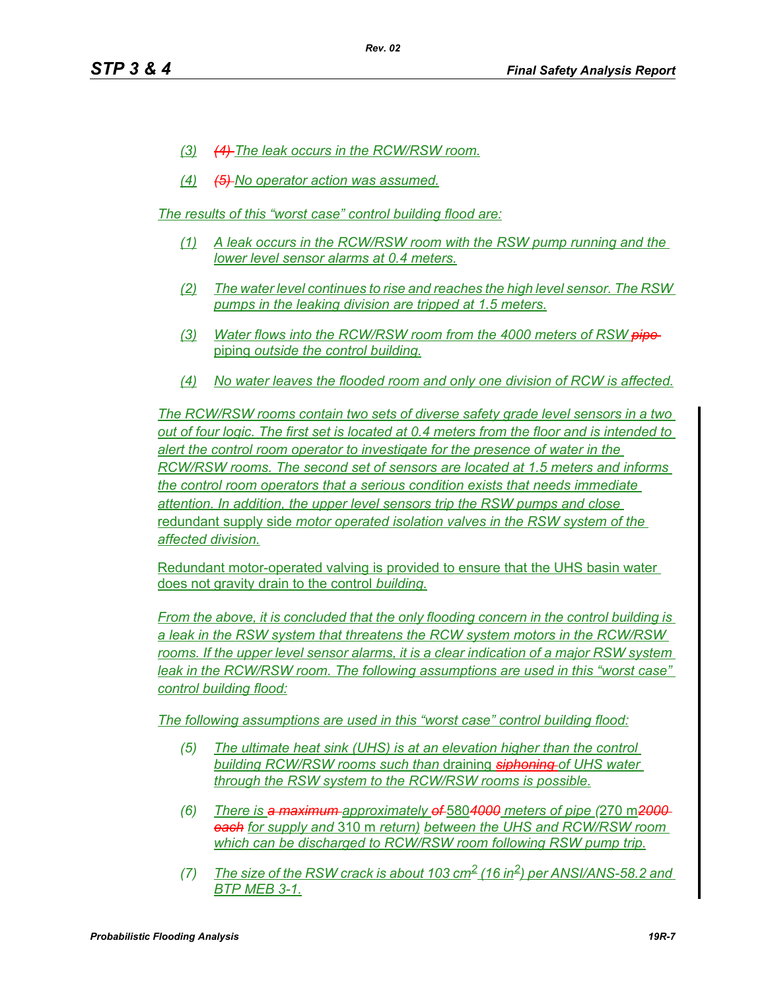- *(3) (4) The leak occurs in the RCW/RSW room.*
- *(4) (5) No operator action was assumed.*

*The results of this "worst case" control building flood are:*

- *(1) A leak occurs in the RCW/RSW room with the RSW pump running and the lower level sensor alarms at 0.4 meters.*
- *(2) The water level continues to rise and reaches the high level sensor. The RSW pumps in the leaking division are tripped at 1.5 meters.*
- *(3) Water flows into the RCW/RSW room from the 4000 meters of RSW pipe*  piping *outside the control building.*
- *(4) No water leaves the flooded room and only one division of RCW is affected.*

*The RCW/RSW rooms contain two sets of diverse safety grade level sensors in a two out of four logic. The first set is located at 0.4 meters from the floor and is intended to alert the control room operator to investigate for the presence of water in the RCW/RSW rooms. The second set of sensors are located at 1.5 meters and informs the control room operators that a serious condition exists that needs immediate attention. In addition, the upper level sensors trip the RSW pumps and close*  redundant supply side *motor operated isolation valves in the RSW system of the affected division.*

Redundant motor-operated valving is provided to ensure that the UHS basin water does not gravity drain to the control *building.*

*From the above, it is concluded that the only flooding concern in the control building is a leak in the RSW system that threatens the RCW system motors in the RCW/RSW*  rooms. If the upper level sensor alarms, it is a clear indication of a major RSW system *leak in the RCW/RSW room. The following assumptions are used in this "worst case" control building flood:*

*The following assumptions are used in this "worst case" control building flood:*

- *(5) The ultimate heat sink (UHS) is at an elevation higher than the control building RCW/RSW rooms such than* draining *siphoning of UHS water through the RSW system to the RCW/RSW rooms is possible.*
- *(6) There is a maximum approximately of* 580*4000 meters of pipe (*270 m*2000 each for supply and* 310 m *return) between the UHS and RCW/RSW room which can be discharged to RCW/RSW room following RSW pump trip.*
- *(7)* The size of the RSW crack is about 103 cm<sup>2</sup> (16 in<sup>2</sup>) per ANSI/ANS-58.2 and *BTP MEB 3-1.*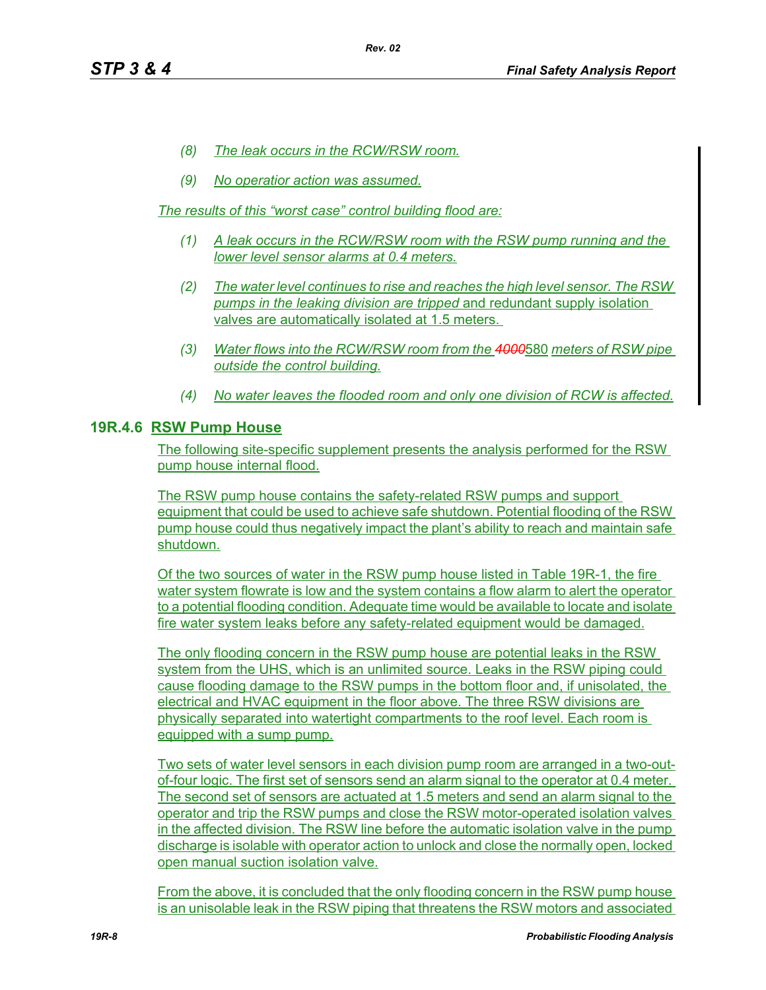- *(8) The leak occurs in the RCW/RSW room.*
- *(9) No operatior action was assumed.*

*The results of this "worst case" control building flood are:*

- *(1) A leak occurs in the RCW/RSW room with the RSW pump running and the lower level sensor alarms at 0.4 meters.*
- *(2) The water level continues to rise and reaches the high level sensor. The RSW pumps in the leaking division are tripped* and redundant supply isolation valves are automatically isolated at 1.5 meters.
- *(3) Water flows into the RCW/RSW room from the 4000*580 *meters of RSW pipe outside the control building.*
- *(4) No water leaves the flooded room and only one division of RCW is affected.*

### **19R.4.6 RSW Pump House**

The following site-specific supplement presents the analysis performed for the RSW pump house internal flood.

The RSW pump house contains the safety-related RSW pumps and support equipment that could be used to achieve safe shutdown. Potential flooding of the RSW pump house could thus negatively impact the plant's ability to reach and maintain safe shutdown.

Of the two sources of water in the RSW pump house listed in Table 19R-1, the fire water system flowrate is low and the system contains a flow alarm to alert the operator to a potential flooding condition. Adequate time would be available to locate and isolate fire water system leaks before any safety-related equipment would be damaged.

The only flooding concern in the RSW pump house are potential leaks in the RSW system from the UHS, which is an unlimited source. Leaks in the RSW piping could cause flooding damage to the RSW pumps in the bottom floor and, if unisolated, the electrical and HVAC equipment in the floor above. The three RSW divisions are physically separated into watertight compartments to the roof level. Each room is equipped with a sump pump.

Two sets of water level sensors in each division pump room are arranged in a two-outof-four logic. The first set of sensors send an alarm signal to the operator at 0.4 meter. The second set of sensors are actuated at 1.5 meters and send an alarm signal to the operator and trip the RSW pumps and close the RSW motor-operated isolation valves in the affected division. The RSW line before the automatic isolation valve in the pump discharge is isolable with operator action to unlock and close the normally open, locked open manual suction isolation valve.

From the above, it is concluded that the only flooding concern in the RSW pump house is an unisolable leak in the RSW piping that threatens the RSW motors and associated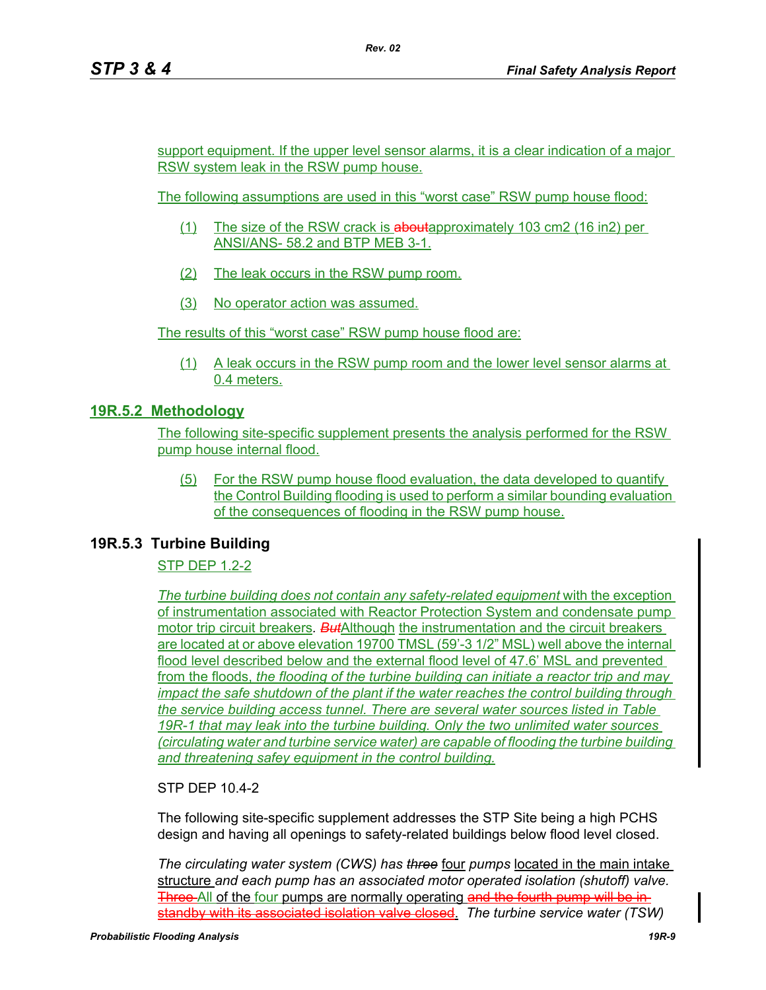support equipment. If the upper level sensor alarms, it is a clear indication of a major RSW system leak in the RSW pump house.

The following assumptions are used in this "worst case" RSW pump house flood:

- (1) The size of the RSW crack is aboutapproximately 103 cm2 (16 in2) per ANSI/ANS- 58.2 and BTP MEB 3-1.
- (2) The leak occurs in the RSW pump room.
- (3) No operator action was assumed.

The results of this "worst case" RSW pump house flood are:

(1) A leak occurs in the RSW pump room and the lower level sensor alarms at 0.4 meters.

### **19R.5.2 Methodology**

The following site-specific supplement presents the analysis performed for the RSW pump house internal flood.

(5) For the RSW pump house flood evaluation, the data developed to quantify the Control Building flooding is used to perform a similar bounding evaluation of the consequences of flooding in the RSW pump house.

#### **19R.5.3 Turbine Building**

STP DEP 1.2-2

*The turbine building does not contain any safety-related equipment with the exception* of instrumentation associated with Reactor Protection System and condensate pump motor trip circuit breakers*. But*Although the instrumentation and the circuit breakers are located at or above elevation 19700 TMSL (59'-3 1/2" MSL) well above the internal flood level described below and the external flood level of 47.6' MSL and prevented from the floods, *the flooding of the turbine building can initiate a reactor trip and may impact the safe shutdown of the plant if the water reaches the control building through the service building access tunnel. There are several water sources listed in Table 19R-1 that may leak into the turbine building. Only the two unlimited water sources (circulating water and turbine service water) are capable of flooding the turbine building and threatening safey equipment in the control building.*

STP DEP 10.4-2

The following site-specific supplement addresses the STP Site being a high PCHS design and having all openings to safety-related buildings below flood level closed.

*The circulating water system (CWS) has three* four *pumps* located in the main intake structure *and each pump has an associated motor operated isolation (shutoff) valve.*  Three All of the four pumps are normally operating and the fourth pump will be instandby with its associated isolation valve closed. *The turbine service water (TSW)*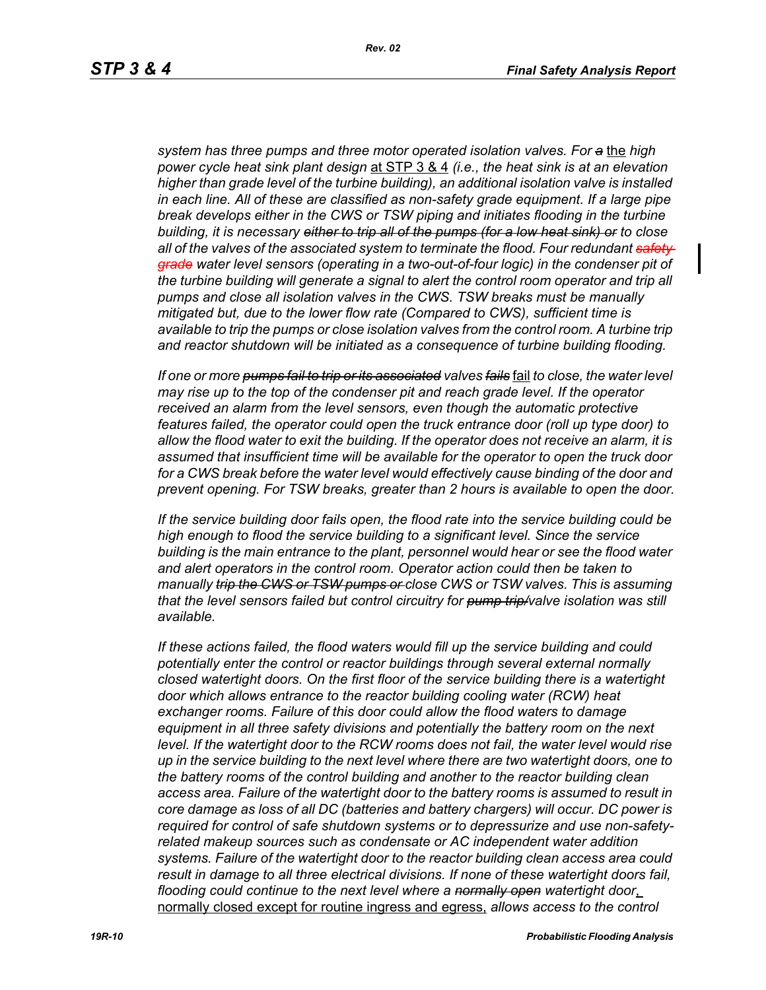*system has three pumps and three motor operated isolation valves. For a* the *high power cycle heat sink plant design* at STP 3 & 4 *(i.e., the heat sink is at an elevation higher than grade level of the turbine building), an additional isolation valve is installed in each line. All of these are classified as non-safety grade equipment. If a large pipe break develops either in the CWS or TSW piping and initiates flooding in the turbine building, it is necessary either to trip all of the pumps (for a low heat sink) or to close all of the valves of the associated system to terminate the flood. Four redundant safety grade water level sensors (operating in a two-out-of-four logic) in the condenser pit of the turbine building will generate a signal to alert the control room operator and trip all pumps and close all isolation valves in the CWS. TSW breaks must be manually mitigated but, due to the lower flow rate (Compared to CWS), sufficient time is available to trip the pumps or close isolation valves from the control room. A turbine trip and reactor shutdown will be initiated as a consequence of turbine building flooding.*

*If one or more pumps fail to trip or its associated valves fails* fail *to close, the water level may rise up to the top of the condenser pit and reach grade level. If the operator received an alarm from the level sensors, even though the automatic protective features failed, the operator could open the truck entrance door (roll up type door) to allow the flood water to exit the building. If the operator does not receive an alarm, it is assumed that insufficient time will be available for the operator to open the truck door*  for a CWS break before the water level would effectively cause binding of the door and *prevent opening. For TSW breaks, greater than 2 hours is available to open the door.*

*If the service building door fails open, the flood rate into the service building could be high enough to flood the service building to a significant level. Since the service building is the main entrance to the plant, personnel would hear or see the flood water and alert operators in the control room. Operator action could then be taken to manually trip the CWS or TSW pumps or close CWS or TSW valves. This is assuming that the level sensors failed but control circuitry for pump trip/valve isolation was still available.*

*If these actions failed, the flood waters would fill up the service building and could potentially enter the control or reactor buildings through several external normally closed watertight doors. On the first floor of the service building there is a watertight door which allows entrance to the reactor building cooling water (RCW) heat exchanger rooms. Failure of this door could allow the flood waters to damage equipment in all three safety divisions and potentially the battery room on the next level. If the watertight door to the RCW rooms does not fail, the water level would rise up in the service building to the next level where there are two watertight doors, one to the battery rooms of the control building and another to the reactor building clean access area. Failure of the watertight door to the battery rooms is assumed to result in core damage as loss of all DC (batteries and battery chargers) will occur. DC power is required for control of safe shutdown systems or to depressurize and use non-safetyrelated makeup sources such as condensate or AC independent water addition systems. Failure of the watertight door to the reactor building clean access area could result in damage to all three electrical divisions. If none of these watertight doors fail, flooding could continue to the next level where a normally open watertight door*, normally closed except for routine ingress and egress, *allows access to the control*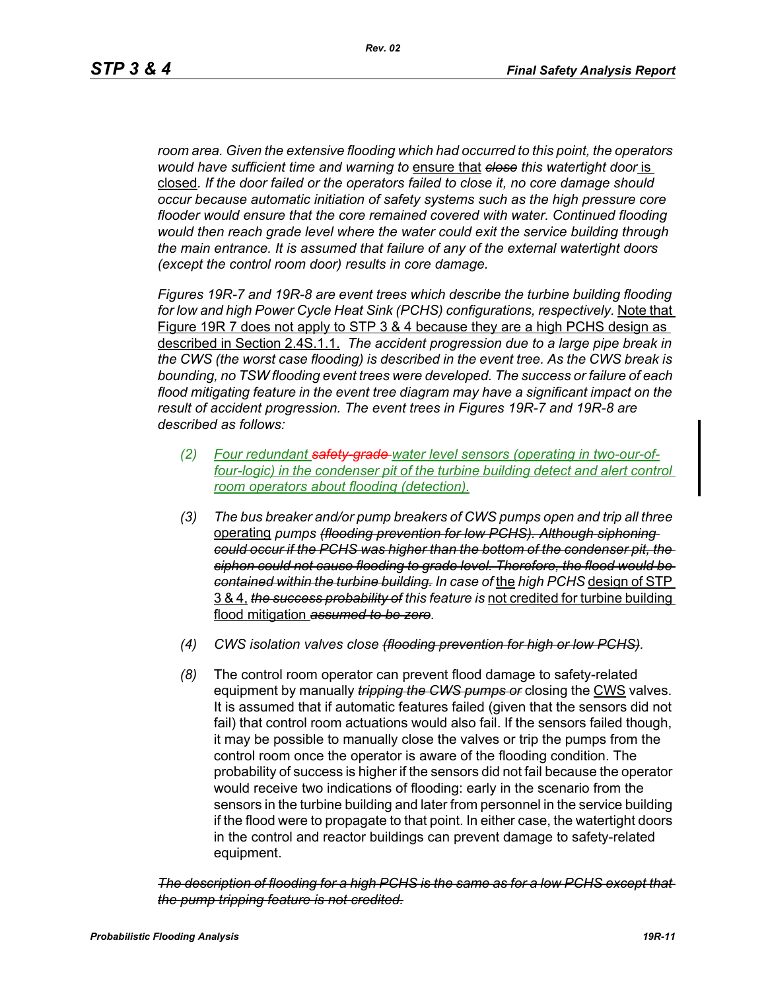*room area. Given the extensive flooding which had occurred to this point, the operators would have sufficient time and warning to* ensure that *close this watertight door* is closed*. If the door failed or the operators failed to close it, no core damage should occur because automatic initiation of safety systems such as the high pressure core flooder would ensure that the core remained covered with water. Continued flooding would then reach grade level where the water could exit the service building through the main entrance. It is assumed that failure of any of the external watertight doors (except the control room door) results in core damage.*

*Figures 19R-7 and 19R-8 are event trees which describe the turbine building flooding*  for low and high Power Cycle Heat Sink (PCHS) configurations, respectively. Note that Figure 19R 7 does not apply to STP 3 & 4 because they are a high PCHS design as described in Section 2.4S.1.1. *The accident progression due to a large pipe break in the CWS (the worst case flooding) is described in the event tree. As the CWS break is bounding, no TSW flooding event trees were developed. The success or failure of each flood mitigating feature in the event tree diagram may have a significant impact on the result of accident progression. The event trees in Figures 19R-7 and 19R-8 are described as follows:*

- *(2) Four redundant safety-grade water level sensors (operating in two-our-offour-logic) in the condenser pit of the turbine building detect and alert control room operators about flooding (detection).*
- *(3) The bus breaker and/or pump breakers of CWS pumps open and trip all three*  operating *pumps (flooding prevention for low PCHS). Although siphoning could occur if the PCHS was higher than the bottom of the condenser pit, the siphon could not cause flooding to grade level. Therefore, the flood would be contained within the turbine building. In case of* the *high PCHS* design of STP 3 & 4, *the success probability of this feature is* not credited for turbine building flood mitigation *assumed to be zero.*
- *(4) CWS isolation valves close (flooding prevention for high or low PCHS).*
- *(8)* The control room operator can prevent flood damage to safety-related equipment by manually *tripping the CWS pumps or* closing the CWS valves. It is assumed that if automatic features failed (given that the sensors did not fail) that control room actuations would also fail. If the sensors failed though, it may be possible to manually close the valves or trip the pumps from the control room once the operator is aware of the flooding condition. The probability of success is higher if the sensors did not fail because the operator would receive two indications of flooding: early in the scenario from the sensors in the turbine building and later from personnel in the service building if the flood were to propagate to that point. In either case, the watertight doors in the control and reactor buildings can prevent damage to safety-related equipment.

*The description of flooding for a high PCHS is the same as for a low PCHS except that the pump tripping feature is not credited.*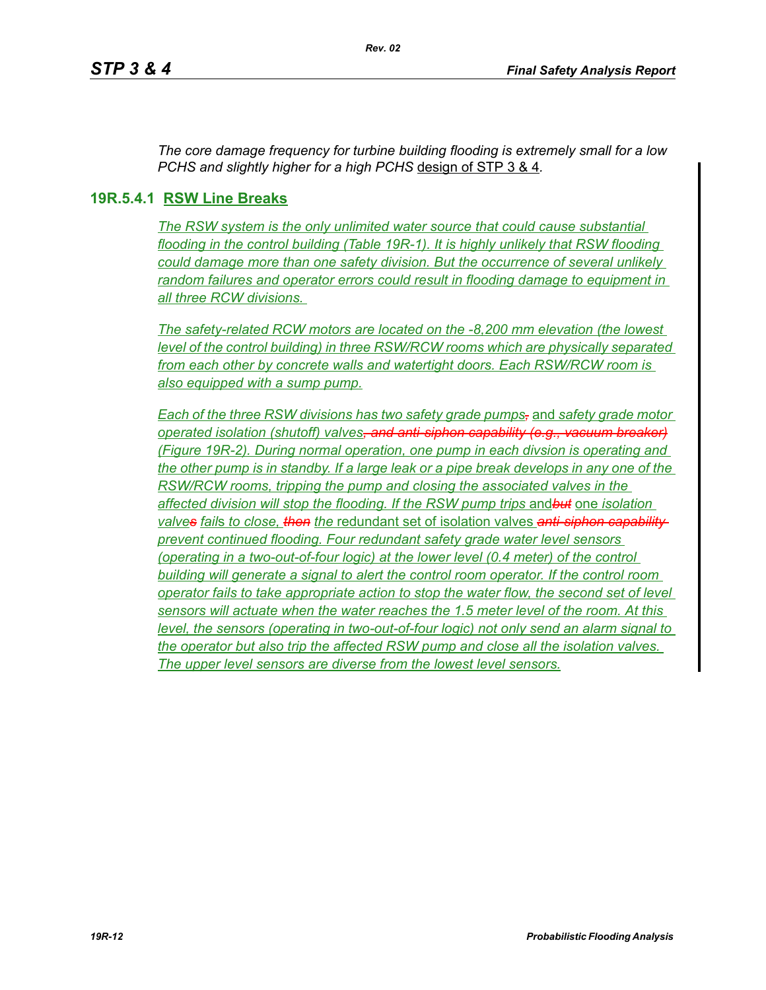*The core damage frequency for turbine building flooding is extremely small for a low PCHS and slightly higher for a high PCHS* design of STP 3 & 4*.*

## **19R.5.4.1 RSW Line Breaks**

*The RSW system is the only unlimited water source that could cause substantial flooding in the control building (Table 19R-1). It is highly unlikely that RSW flooding could damage more than one safety division. But the occurrence of several unlikely random failures and operator errors could result in flooding damage to equipment in all three RCW divisions.* 

*The safety-related RCW motors are located on the -8,200 mm elevation (the lowest level of the control building) in three RSW/RCW rooms which are physically separated from each other by concrete walls and watertight doors. Each RSW/RCW room is also equipped with a sump pump.*

*Each of the three RSW divisions has two safety grade pumps,* and *safety grade motor operated isolation (shutoff) valves, and anti-siphon capability (e.g., vacuum breaker) (Figure 19R-2). During normal operation, one pump in each divsion is operating and the other pump is in standby. If a large leak or a pipe break develops in any one of the RSW/RCW rooms, tripping the pump and closing the associated valves in the affected division will stop the flooding. If the RSW pump trips* and*but* one *isolation valves fail*s *to close, then the* redundant set of isolation valves *anti-siphon capability prevent continued flooding. Four redundant safety grade water level sensors (operating in a two-out-of-four logic) at the lower level (0.4 meter) of the control building will generate a signal to alert the control room operator. If the control room operator fails to take appropriate action to stop the water flow, the second set of level sensors will actuate when the water reaches the 1.5 meter level of the room. At this level, the sensors (operating in two-out-of-four logic) not only send an alarm signal to the operator but also trip the affected RSW pump and close all the isolation valves. The upper level sensors are diverse from the lowest level sensors.*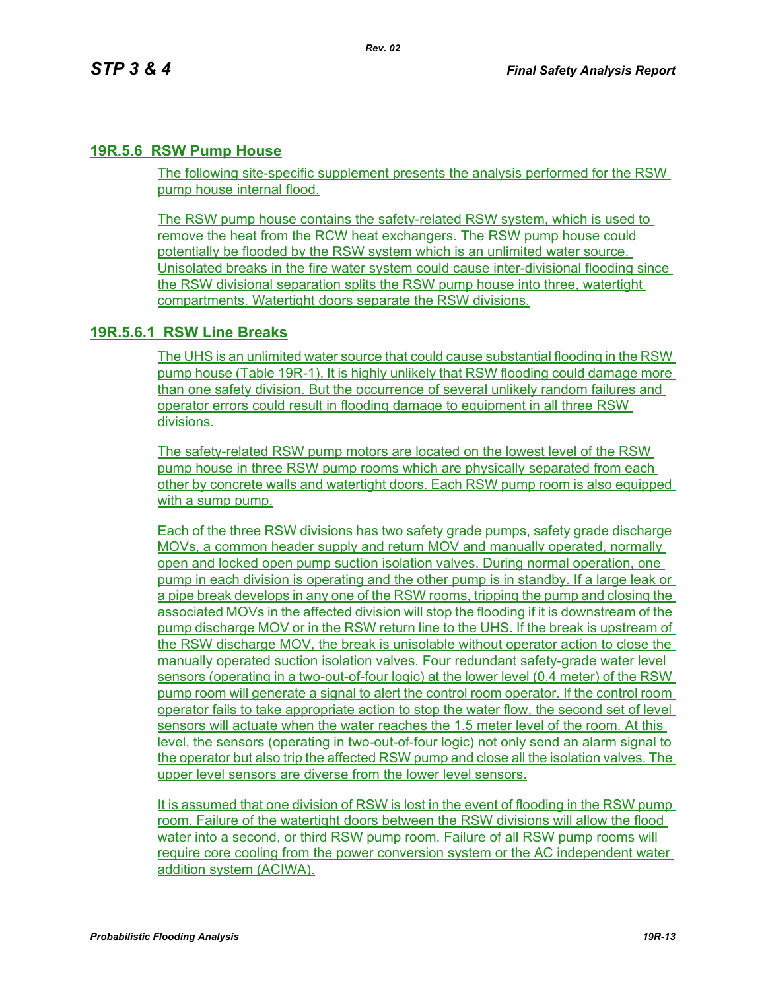#### **19R.5.6 RSW Pump House**

The following site-specific supplement presents the analysis performed for the RSW pump house internal flood.

The RSW pump house contains the safety-related RSW system, which is used to remove the heat from the RCW heat exchangers. The RSW pump house could potentially be flooded by the RSW system which is an unlimited water source. Unisolated breaks in the fire water system could cause inter-divisional flooding since the RSW divisional separation splits the RSW pump house into three, watertight compartments. Watertight doors separate the RSW divisions.

### **19R.5.6.1 RSW Line Breaks**

The UHS is an unlimited water source that could cause substantial flooding in the RSW pump house (Table 19R-1). It is highly unlikely that RSW flooding could damage more than one safety division. But the occurrence of several unlikely random failures and operator errors could result in flooding damage to equipment in all three RSW divisions.

The safety-related RSW pump motors are located on the lowest level of the RSW pump house in three RSW pump rooms which are physically separated from each other by concrete walls and watertight doors. Each RSW pump room is also equipped with a sump pump.

Each of the three RSW divisions has two safety grade pumps, safety grade discharge MOVs, a common header supply and return MOV and manually operated, normally open and locked open pump suction isolation valves. During normal operation, one pump in each division is operating and the other pump is in standby. If a large leak or a pipe break develops in any one of the RSW rooms, tripping the pump and closing the associated MOVs in the affected division will stop the flooding if it is downstream of the pump discharge MOV or in the RSW return line to the UHS. If the break is upstream of the RSW discharge MOV, the break is unisolable without operator action to close the manually operated suction isolation valves. Four redundant safety-grade water level sensors (operating in a two-out-of-four logic) at the lower level (0.4 meter) of the RSW pump room will generate a signal to alert the control room operator. If the control room operator fails to take appropriate action to stop the water flow, the second set of level sensors will actuate when the water reaches the 1.5 meter level of the room. At this level, the sensors (operating in two-out-of-four logic) not only send an alarm signal to the operator but also trip the affected RSW pump and close all the isolation valves. The upper level sensors are diverse from the lower level sensors.

It is assumed that one division of RSW is lost in the event of flooding in the RSW pump room. Failure of the watertight doors between the RSW divisions will allow the flood water into a second, or third RSW pump room. Failure of all RSW pump rooms will require core cooling from the power conversion system or the AC independent water addition system (ACIWA).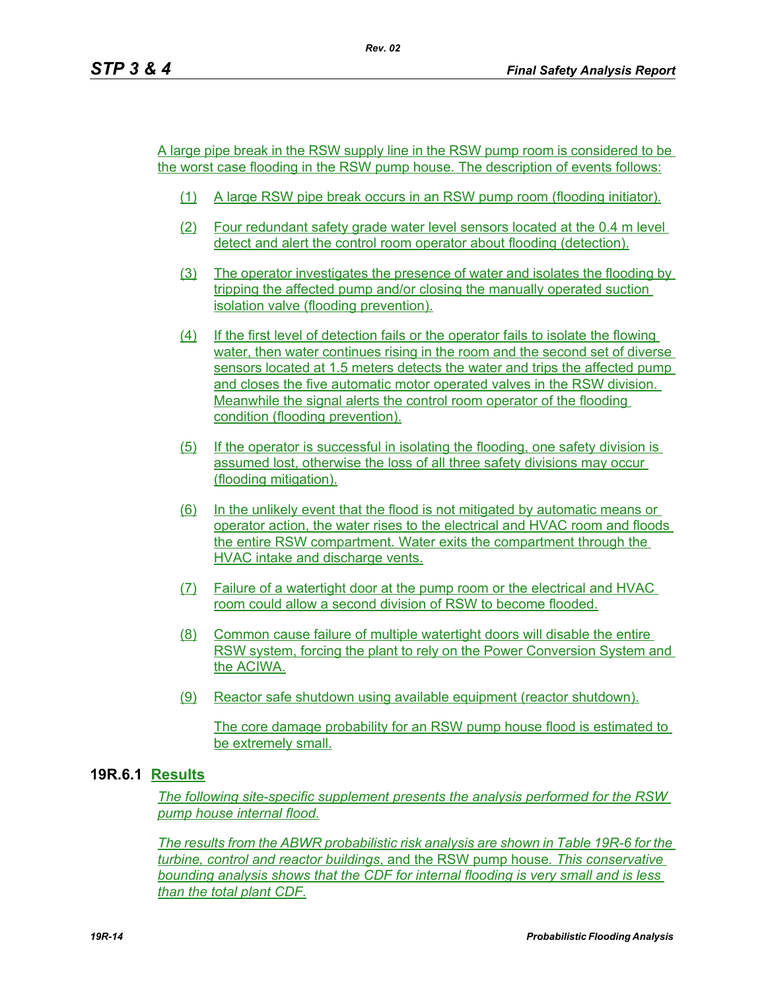A large pipe break in the RSW supply line in the RSW pump room is considered to be the worst case flooding in the RSW pump house. The description of events follows:

- (1) A large RSW pipe break occurs in an RSW pump room (flooding initiator).
- (2) Four redundant safety grade water level sensors located at the 0.4 m level detect and alert the control room operator about flooding (detection).
- (3) The operator investigates the presence of water and isolates the flooding by tripping the affected pump and/or closing the manually operated suction isolation valve (flooding prevention).
- (4) If the first level of detection fails or the operator fails to isolate the flowing water, then water continues rising in the room and the second set of diverse sensors located at 1.5 meters detects the water and trips the affected pump and closes the five automatic motor operated valves in the RSW division. Meanwhile the signal alerts the control room operator of the flooding condition (flooding prevention).
- (5) If the operator is successful in isolating the flooding, one safety division is assumed lost, otherwise the loss of all three safety divisions may occur (flooding mitigation).
- (6) In the unlikely event that the flood is not mitigated by automatic means or operator action, the water rises to the electrical and HVAC room and floods the entire RSW compartment. Water exits the compartment through the HVAC intake and discharge vents.
- (7) Failure of a watertight door at the pump room or the electrical and HVAC room could allow a second division of RSW to become flooded.
- (8) Common cause failure of multiple watertight doors will disable the entire RSW system, forcing the plant to rely on the Power Conversion System and the ACIWA.
- (9) Reactor safe shutdown using available equipment (reactor shutdown).

The core damage probability for an RSW pump house flood is estimated to be extremely small.

## **19R.6.1 Results**

*The following site-specific supplement presents the analysis performed for the RSW pump house internal flood.*

*The results from the ABWR probabilistic risk analysis are shown in Table 19R-6 for the turbine, control and reactor buildings*, and the RSW pump house*. This conservative bounding analysis shows that the CDF for internal flooding is very small and is less than the total plant CDF.*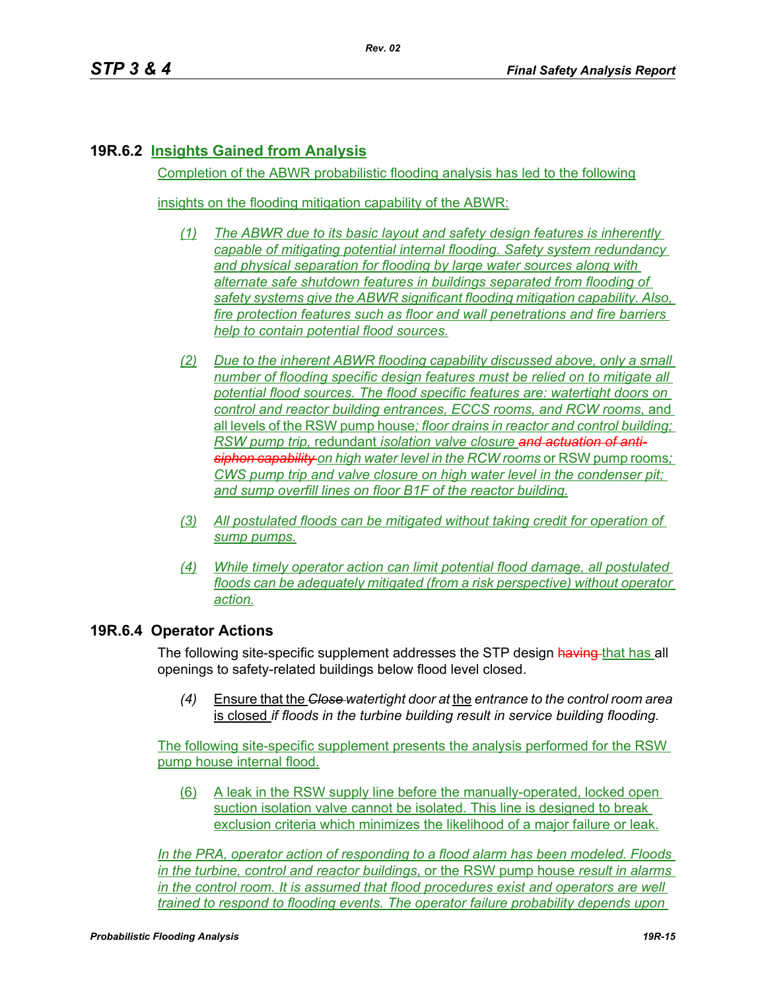# **19R.6.2 Insights Gained from Analysis**

Completion of the ABWR probabilistic flooding analysis has led to the following

insights on the flooding mitigation capability of the ABWR:

- *(1) The ABWR due to its basic layout and safety design features is inherently capable of mitigating potential internal flooding. Safety system redundancy and physical separation for flooding by large water sources along with alternate safe shutdown features in buildings separated from flooding of safety systems give the ABWR significant flooding mitigation capability. Also, fire protection features such as floor and wall penetrations and fire barriers help to contain potential flood sources.*
- *(2) Due to the inherent ABWR flooding capability discussed above, only a small number of flooding specific design features must be relied on to mitigate all potential flood sources. The flood specific features are: watertight doors on control and reactor building entrances, ECCS rooms, and RCW rooms*, and all levels of the RSW pump house*; floor drains in reactor and control building; RSW pump trip,* redundant *isolation valve closure and actuation of antisiphon capability on high water level in the RCW rooms* or RSW pump rooms*; CWS pump trip and valve closure on high water level in the condenser pit; and sump overfill lines on floor B1F of the reactor building.*
- *(3) All postulated floods can be mitigated without taking credit for operation of sump pumps.*
- *(4) While timely operator action can limit potential flood damage, all postulated floods can be adequately mitigated (from a risk perspective) without operator action.*

### **19R.6.4 Operator Actions**

The following site-specific supplement addresses the STP design having that has all openings to safety-related buildings below flood level closed.

*(4)* Ensure that the *Close watertight door at* the *entrance to the control room area*  is closed *if floods in the turbine building result in service building flooding.*

The following site-specific supplement presents the analysis performed for the RSW pump house internal flood.

(6) A leak in the RSW supply line before the manually-operated, locked open suction isolation valve cannot be isolated. This line is designed to break exclusion criteria which minimizes the likelihood of a major failure or leak.

*In the PRA, operator action of responding to a flood alarm has been modeled. Floods in the turbine, control and reactor buildings*, or the RSW pump house *result in alarms in the control room. It is assumed that flood procedures exist and operators are well trained to respond to flooding events. The operator failure probability depends upon*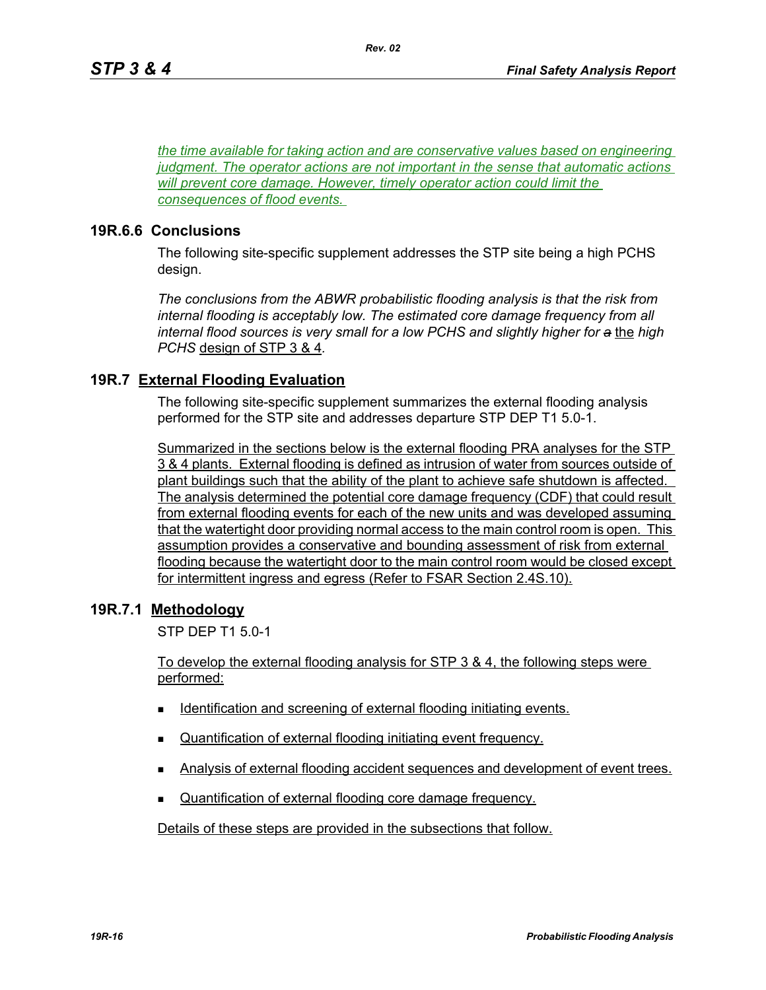*the time available for taking action and are conservative values based on engineering judgment. The operator actions are not important in the sense that automatic actions will prevent core damage. However, timely operator action could limit the consequences of flood events.* 

*Rev. 02*

#### **19R.6.6 Conclusions**

The following site-specific supplement addresses the STP site being a high PCHS design.

*The conclusions from the ABWR probabilistic flooding analysis is that the risk from internal flooding is acceptably low. The estimated core damage frequency from all internal flood sources is very small for a low PCHS and slightly higher for a* the *high PCHS* design of STP 3 & 4*.*

### **19R.7 External Flooding Evaluation**

The following site-specific supplement summarizes the external flooding analysis performed for the STP site and addresses departure STP DEP T1 5.0-1.

Summarized in the sections below is the external flooding PRA analyses for the STP 3 & 4 plants. External flooding is defined as intrusion of water from sources outside of plant buildings such that the ability of the plant to achieve safe shutdown is affected. The analysis determined the potential core damage frequency (CDF) that could result from external flooding events for each of the new units and was developed assuming that the watertight door providing normal access to the main control room is open. This assumption provides a conservative and bounding assessment of risk from external flooding because the watertight door to the main control room would be closed except for intermittent ingress and egress (Refer to FSAR Section 2.4S.10).

### **19R.7.1 Methodology**

STP DEP T1 5.0-1

To develop the external flooding analysis for STP 3 & 4, the following steps were performed:

- Identification and screening of external flooding initiating events.
- Quantification of external flooding initiating event frequency.
- Analysis of external flooding accident sequences and development of event trees.
- Quantification of external flooding core damage frequency.

Details of these steps are provided in the subsections that follow.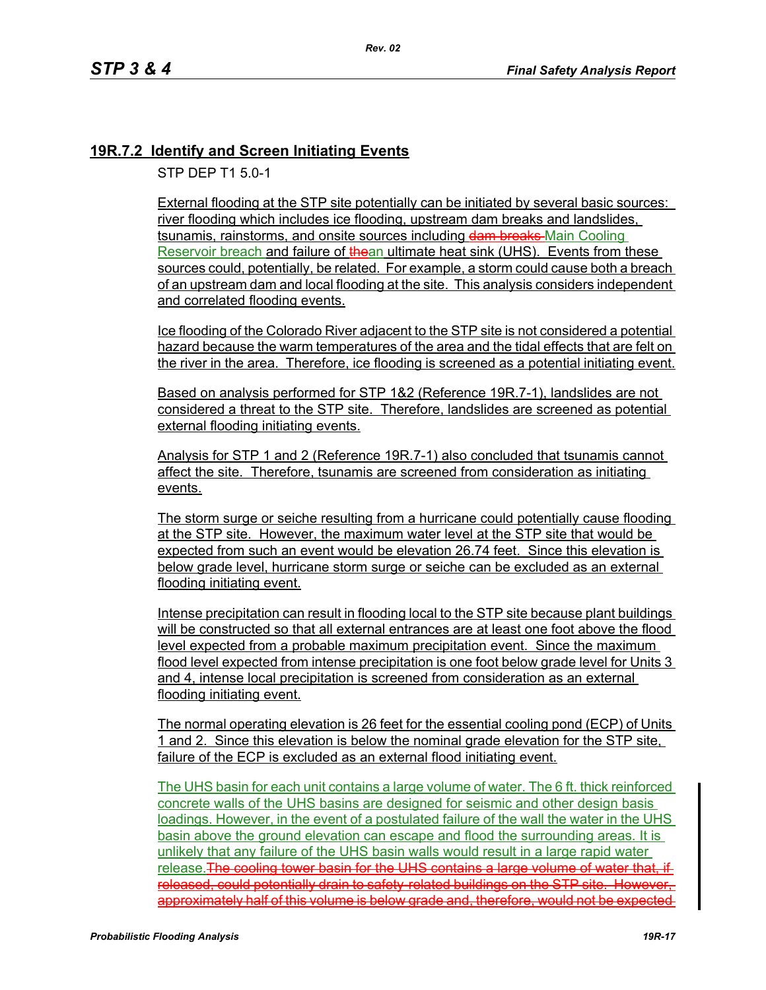# **19R.7.2 Identify and Screen Initiating Events**

STP DEP T1 5.0-1

External flooding at the STP site potentially can be initiated by several basic sources: river flooding which includes ice flooding, upstream dam breaks and landslides, tsunamis, rainstorms, and onsite sources including dam breaks Main Cooling Reservoir breach and failure of thean ultimate heat sink (UHS). Events from these sources could, potentially, be related. For example, a storm could cause both a breach of an upstream dam and local flooding at the site. This analysis considers independent and correlated flooding events.

Ice flooding of the Colorado River adjacent to the STP site is not considered a potential hazard because the warm temperatures of the area and the tidal effects that are felt on the river in the area. Therefore, ice flooding is screened as a potential initiating event.

Based on analysis performed for STP 1&2 (Reference 19R.7-1), landslides are not considered a threat to the STP site. Therefore, landslides are screened as potential external flooding initiating events.

Analysis for STP 1 and 2 (Reference 19R.7-1) also concluded that tsunamis cannot affect the site. Therefore, tsunamis are screened from consideration as initiating events.

The storm surge or seiche resulting from a hurricane could potentially cause flooding at the STP site. However, the maximum water level at the STP site that would be expected from such an event would be elevation 26.74 feet. Since this elevation is below grade level, hurricane storm surge or seiche can be excluded as an external flooding initiating event.

Intense precipitation can result in flooding local to the STP site because plant buildings will be constructed so that all external entrances are at least one foot above the flood level expected from a probable maximum precipitation event. Since the maximum flood level expected from intense precipitation is one foot below grade level for Units 3 and 4, intense local precipitation is screened from consideration as an external flooding initiating event.

The normal operating elevation is 26 feet for the essential cooling pond (ECP) of Units 1 and 2. Since this elevation is below the nominal grade elevation for the STP site, failure of the ECP is excluded as an external flood initiating event.

The UHS basin for each unit contains a large volume of water. The 6 ft. thick reinforced concrete walls of the UHS basins are designed for seismic and other design basis loadings. However, in the event of a postulated failure of the wall the water in the UHS basin above the ground elevation can escape and flood the surrounding areas. It is unlikely that any failure of the UHS basin walls would result in a large rapid water release. The cooling tower basin for the UHS contains a large volume of water that. released, could potentially drain to safety-related buildings on the STP site. However, approximately half of this volume is below grade and, therefore, would not be expected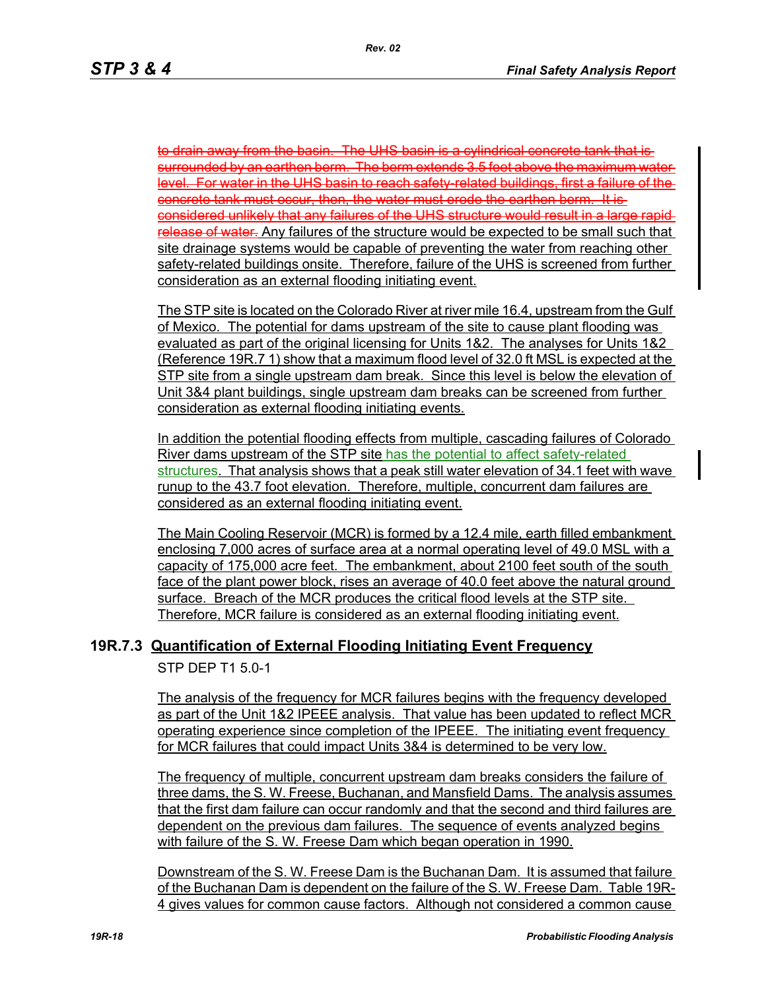to drain away from the basin. The UHS basin is a cylindrical concrete tank that is surrounded by an earthen berm. The berm extends 3.5 feet above the maximum water level. For water in the UHS basin to reach safety-related buildings, first a failure of the concrete tank must occur, then, the water must erode the earthen berm. It is considered unlikely that any failures of the UHS structure would result in a large rapid release of water. Any failures of the structure would be expected to be small such that site drainage systems would be capable of preventing the water from reaching other safety-related buildings onsite. Therefore, failure of the UHS is screened from further consideration as an external flooding initiating event.

The STP site is located on the Colorado River at river mile 16.4, upstream from the Gulf of Mexico. The potential for dams upstream of the site to cause plant flooding was evaluated as part of the original licensing for Units 1&2. The analyses for Units 1&2 (Reference 19R.7 1) show that a maximum flood level of 32.0 ft MSL is expected at the STP site from a single upstream dam break. Since this level is below the elevation of Unit 3&4 plant buildings, single upstream dam breaks can be screened from further consideration as external flooding initiating events.

In addition the potential flooding effects from multiple, cascading failures of Colorado River dams upstream of the STP site has the potential to affect safety-related structures. That analysis shows that a peak still water elevation of 34.1 feet with wave runup to the 43.7 foot elevation. Therefore, multiple, concurrent dam failures are considered as an external flooding initiating event.

The Main Cooling Reservoir (MCR) is formed by a 12.4 mile, earth filled embankment enclosing 7,000 acres of surface area at a normal operating level of 49.0 MSL with a capacity of 175,000 acre feet. The embankment, about 2100 feet south of the south face of the plant power block, rises an average of 40.0 feet above the natural ground surface. Breach of the MCR produces the critical flood levels at the STP site. Therefore, MCR failure is considered as an external flooding initiating event.

### **19R.7.3 Quantification of External Flooding Initiating Event Frequency**

STP DEP T1 5.0-1

The analysis of the frequency for MCR failures begins with the frequency developed as part of the Unit 1&2 IPEEE analysis. That value has been updated to reflect MCR operating experience since completion of the IPEEE. The initiating event frequency for MCR failures that could impact Units 3&4 is determined to be very low.

The frequency of multiple, concurrent upstream dam breaks considers the failure of three dams, the S. W. Freese, Buchanan, and Mansfield Dams. The analysis assumes that the first dam failure can occur randomly and that the second and third failures are dependent on the previous dam failures. The sequence of events analyzed begins with failure of the S. W. Freese Dam which began operation in 1990.

Downstream of the S. W. Freese Dam is the Buchanan Dam. It is assumed that failure of the Buchanan Dam is dependent on the failure of the S. W. Freese Dam. Table 19R-4 gives values for common cause factors. Although not considered a common cause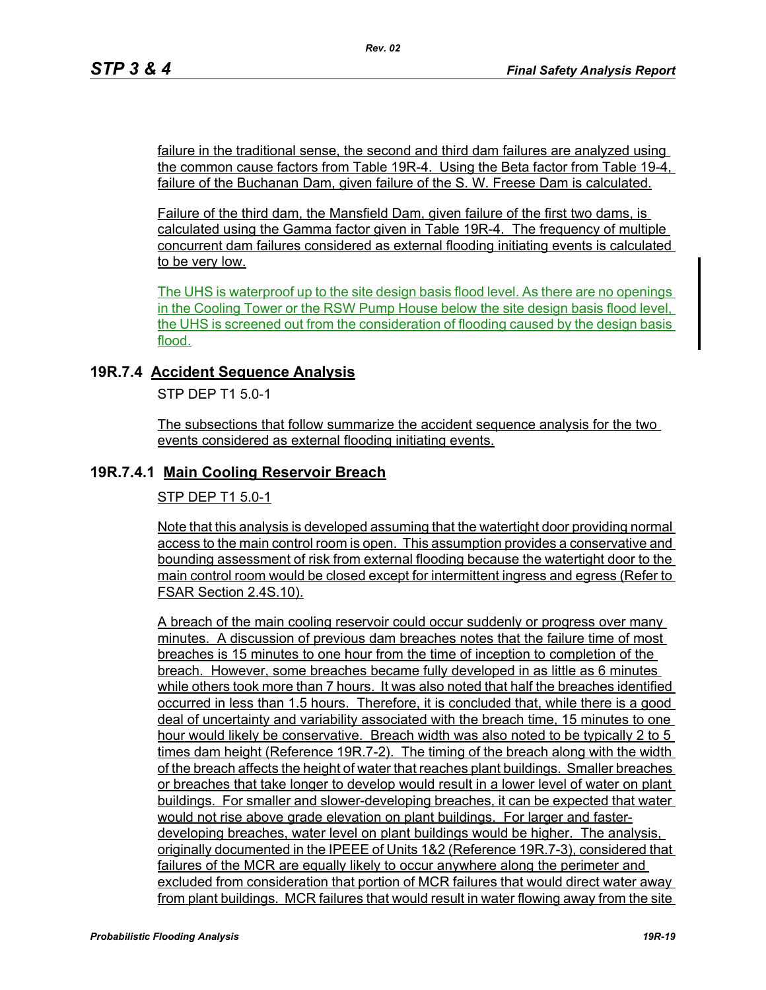failure in the traditional sense, the second and third dam failures are analyzed using the common cause factors from Table 19R-4. Using the Beta factor from Table 19-4, failure of the Buchanan Dam, given failure of the S. W. Freese Dam is calculated.

Failure of the third dam, the Mansfield Dam, given failure of the first two dams, is calculated using the Gamma factor given in Table 19R-4. The frequency of multiple concurrent dam failures considered as external flooding initiating events is calculated to be very low.

The UHS is waterproof up to the site design basis flood level. As there are no openings in the Cooling Tower or the RSW Pump House below the site design basis flood level, the UHS is screened out from the consideration of flooding caused by the design basis flood.

### **19R.7.4 Accident Sequence Analysis**

STP DEP T1 5.0-1

The subsections that follow summarize the accident sequence analysis for the two events considered as external flooding initiating events.

# **19R.7.4.1 Main Cooling Reservoir Breach**

STP DEP T1 5.0-1

Note that this analysis is developed assuming that the watertight door providing normal access to the main control room is open. This assumption provides a conservative and bounding assessment of risk from external flooding because the watertight door to the main control room would be closed except for intermittent ingress and egress (Refer to FSAR Section 2.4S.10).

A breach of the main cooling reservoir could occur suddenly or progress over many minutes. A discussion of previous dam breaches notes that the failure time of most breaches is 15 minutes to one hour from the time of inception to completion of the breach. However, some breaches became fully developed in as little as 6 minutes while others took more than 7 hours. It was also noted that half the breaches identified occurred in less than 1.5 hours. Therefore, it is concluded that, while there is a good deal of uncertainty and variability associated with the breach time, 15 minutes to one hour would likely be conservative. Breach width was also noted to be typically 2 to 5 times dam height (Reference 19R.7-2). The timing of the breach along with the width of the breach affects the height of water that reaches plant buildings. Smaller breaches or breaches that take longer to develop would result in a lower level of water on plant buildings. For smaller and slower-developing breaches, it can be expected that water would not rise above grade elevation on plant buildings. For larger and fasterdeveloping breaches, water level on plant buildings would be higher. The analysis, originally documented in the IPEEE of Units 1&2 (Reference 19R.7-3), considered that failures of the MCR are equally likely to occur anywhere along the perimeter and excluded from consideration that portion of MCR failures that would direct water away from plant buildings. MCR failures that would result in water flowing away from the site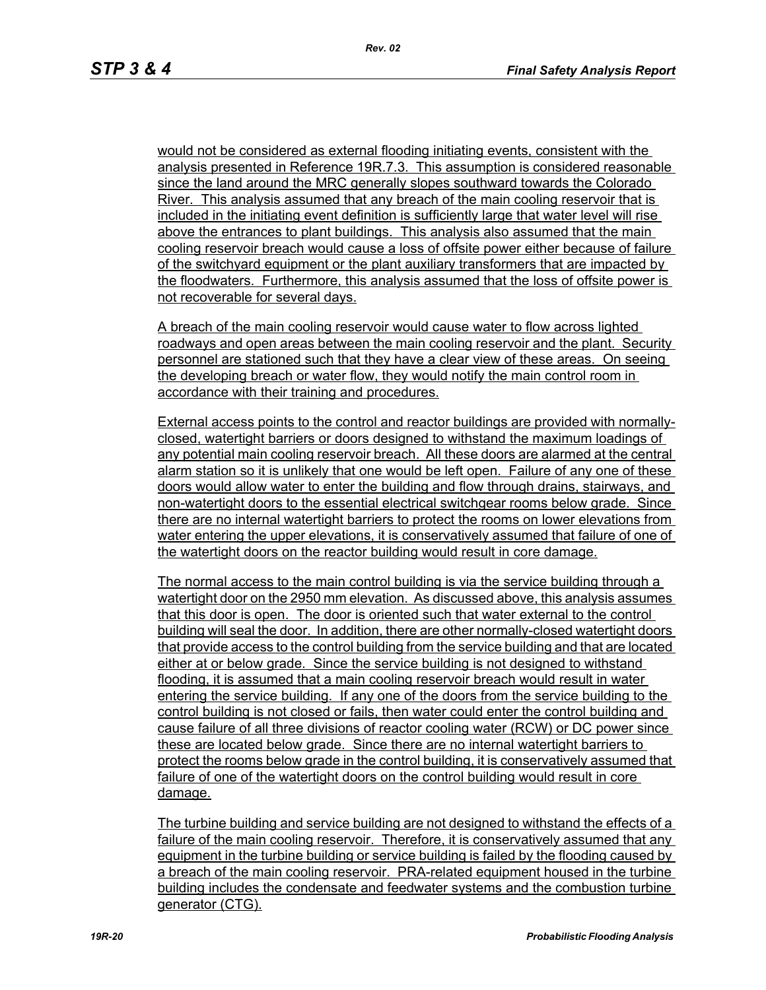would not be considered as external flooding initiating events, consistent with the analysis presented in Reference 19R.7.3. This assumption is considered reasonable since the land around the MRC generally slopes southward towards the Colorado River. This analysis assumed that any breach of the main cooling reservoir that is included in the initiating event definition is sufficiently large that water level will rise above the entrances to plant buildings. This analysis also assumed that the main cooling reservoir breach would cause a loss of offsite power either because of failure of the switchyard equipment or the plant auxiliary transformers that are impacted by the floodwaters. Furthermore, this analysis assumed that the loss of offsite power is not recoverable for several days.

A breach of the main cooling reservoir would cause water to flow across lighted roadways and open areas between the main cooling reservoir and the plant. Security personnel are stationed such that they have a clear view of these areas. On seeing the developing breach or water flow, they would notify the main control room in accordance with their training and procedures.

External access points to the control and reactor buildings are provided with normallyclosed, watertight barriers or doors designed to withstand the maximum loadings of any potential main cooling reservoir breach. All these doors are alarmed at the central alarm station so it is unlikely that one would be left open. Failure of any one of these doors would allow water to enter the building and flow through drains, stairways, and non-watertight doors to the essential electrical switchgear rooms below grade. Since there are no internal watertight barriers to protect the rooms on lower elevations from water entering the upper elevations, it is conservatively assumed that failure of one of the watertight doors on the reactor building would result in core damage.

The normal access to the main control building is via the service building through a watertight door on the 2950 mm elevation. As discussed above, this analysis assumes that this door is open. The door is oriented such that water external to the control building will seal the door. In addition, there are other normally-closed watertight doors that provide access to the control building from the service building and that are located either at or below grade. Since the service building is not designed to withstand flooding, it is assumed that a main cooling reservoir breach would result in water entering the service building. If any one of the doors from the service building to the control building is not closed or fails, then water could enter the control building and cause failure of all three divisions of reactor cooling water (RCW) or DC power since these are located below grade. Since there are no internal watertight barriers to protect the rooms below grade in the control building, it is conservatively assumed that failure of one of the watertight doors on the control building would result in core damage.

The turbine building and service building are not designed to withstand the effects of a failure of the main cooling reservoir. Therefore, it is conservatively assumed that any equipment in the turbine building or service building is failed by the flooding caused by a breach of the main cooling reservoir. PRA-related equipment housed in the turbine building includes the condensate and feedwater systems and the combustion turbine generator (CTG).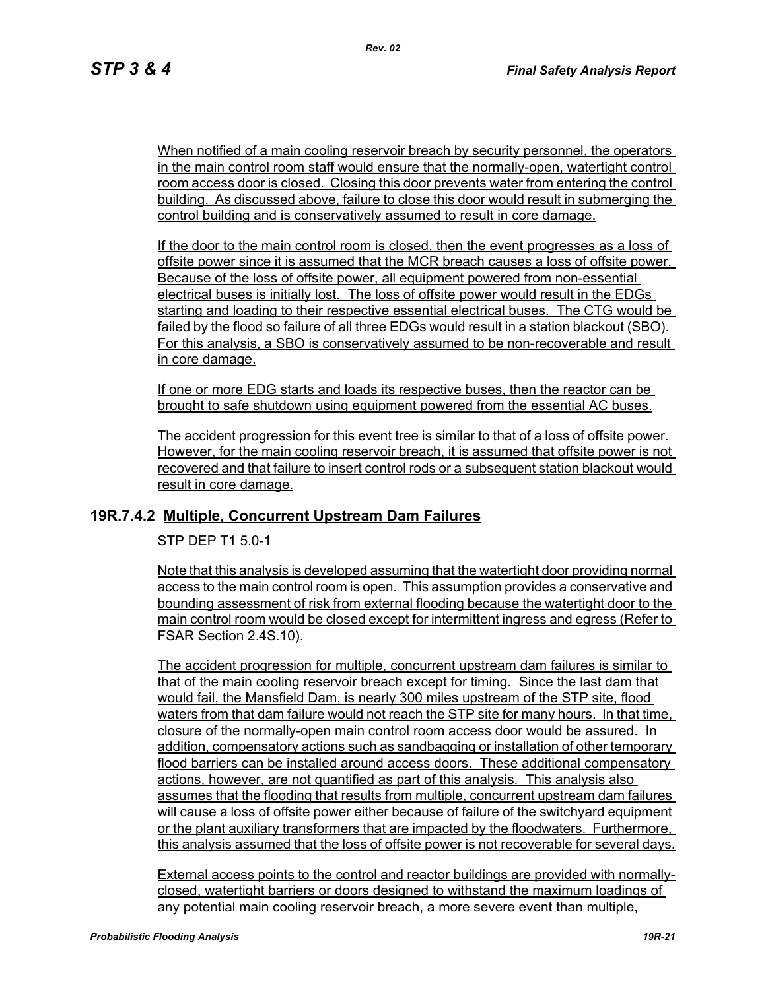When notified of a main cooling reservoir breach by security personnel, the operators in the main control room staff would ensure that the normally-open, watertight control room access door is closed. Closing this door prevents water from entering the control building. As discussed above, failure to close this door would result in submerging the control building and is conservatively assumed to result in core damage.

If the door to the main control room is closed, then the event progresses as a loss of offsite power since it is assumed that the MCR breach causes a loss of offsite power. Because of the loss of offsite power, all equipment powered from non-essential electrical buses is initially lost. The loss of offsite power would result in the EDGs starting and loading to their respective essential electrical buses. The CTG would be failed by the flood so failure of all three EDGs would result in a station blackout (SBO). For this analysis, a SBO is conservatively assumed to be non-recoverable and result in core damage.

If one or more EDG starts and loads its respective buses, then the reactor can be brought to safe shutdown using equipment powered from the essential AC buses.

The accident progression for this event tree is similar to that of a loss of offsite power. However, for the main cooling reservoir breach, it is assumed that offsite power is not recovered and that failure to insert control rods or a subsequent station blackout would result in core damage.

### **19R.7.4.2 Multiple, Concurrent Upstream Dam Failures**

STP DEP T1 5.0-1

Note that this analysis is developed assuming that the watertight door providing normal access to the main control room is open. This assumption provides a conservative and bounding assessment of risk from external flooding because the watertight door to the main control room would be closed except for intermittent ingress and egress (Refer to FSAR Section 2.4S.10).

The accident progression for multiple, concurrent upstream dam failures is similar to that of the main cooling reservoir breach except for timing. Since the last dam that would fail, the Mansfield Dam, is nearly 300 miles upstream of the STP site, flood waters from that dam failure would not reach the STP site for many hours. In that time, closure of the normally-open main control room access door would be assured. In addition, compensatory actions such as sandbagging or installation of other temporary flood barriers can be installed around access doors. These additional compensatory actions, however, are not quantified as part of this analysis. This analysis also assumes that the flooding that results from multiple, concurrent upstream dam failures will cause a loss of offsite power either because of failure of the switchyard equipment or the plant auxiliary transformers that are impacted by the floodwaters. Furthermore, this analysis assumed that the loss of offsite power is not recoverable for several days.

External access points to the control and reactor buildings are provided with normallyclosed, watertight barriers or doors designed to withstand the maximum loadings of any potential main cooling reservoir breach, a more severe event than multiple,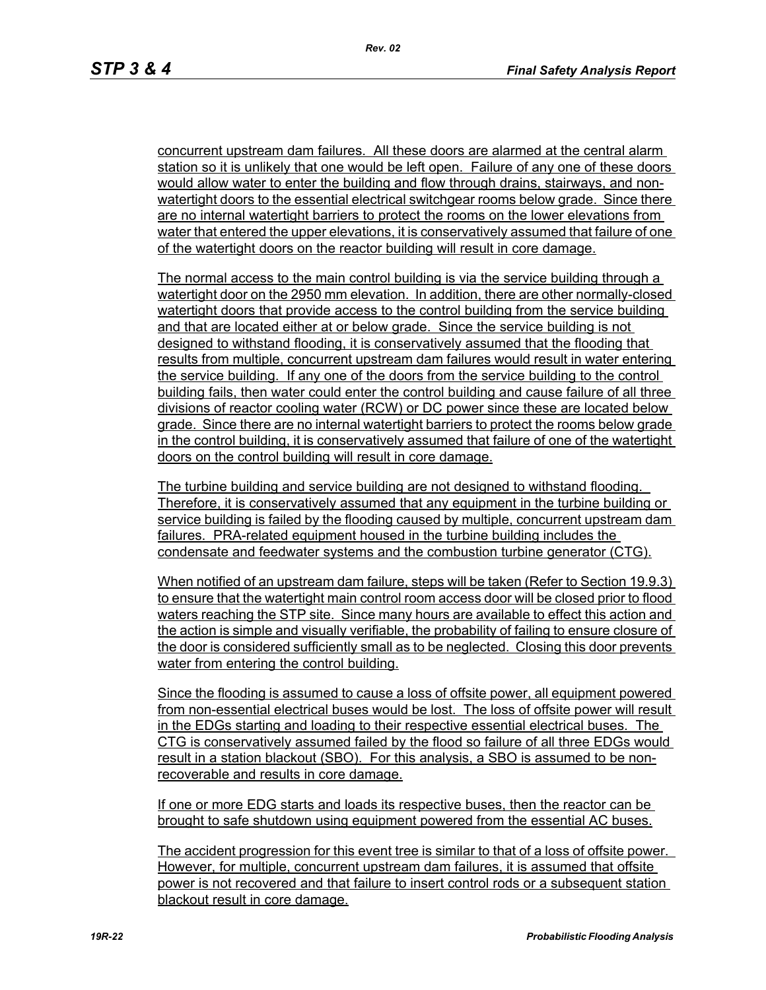concurrent upstream dam failures. All these doors are alarmed at the central alarm station so it is unlikely that one would be left open. Failure of any one of these doors would allow water to enter the building and flow through drains, stairways, and nonwatertight doors to the essential electrical switchgear rooms below grade. Since there are no internal watertight barriers to protect the rooms on the lower elevations from water that entered the upper elevations, it is conservatively assumed that failure of one of the watertight doors on the reactor building will result in core damage.

The normal access to the main control building is via the service building through a watertight door on the 2950 mm elevation. In addition, there are other normally-closed watertight doors that provide access to the control building from the service building and that are located either at or below grade. Since the service building is not designed to withstand flooding, it is conservatively assumed that the flooding that results from multiple, concurrent upstream dam failures would result in water entering the service building. If any one of the doors from the service building to the control building fails, then water could enter the control building and cause failure of all three divisions of reactor cooling water (RCW) or DC power since these are located below grade. Since there are no internal watertight barriers to protect the rooms below grade in the control building, it is conservatively assumed that failure of one of the watertight doors on the control building will result in core damage.

The turbine building and service building are not designed to withstand flooding. Therefore, it is conservatively assumed that any equipment in the turbine building or service building is failed by the flooding caused by multiple, concurrent upstream dam failures. PRA-related equipment housed in the turbine building includes the condensate and feedwater systems and the combustion turbine generator (CTG).

When notified of an upstream dam failure, steps will be taken (Refer to Section 19.9.3) to ensure that the watertight main control room access door will be closed prior to flood waters reaching the STP site. Since many hours are available to effect this action and the action is simple and visually verifiable, the probability of failing to ensure closure of the door is considered sufficiently small as to be neglected. Closing this door prevents water from entering the control building.

Since the flooding is assumed to cause a loss of offsite power, all equipment powered from non-essential electrical buses would be lost. The loss of offsite power will result in the EDGs starting and loading to their respective essential electrical buses. The CTG is conservatively assumed failed by the flood so failure of all three EDGs would result in a station blackout (SBO). For this analysis, a SBO is assumed to be nonrecoverable and results in core damage.

If one or more EDG starts and loads its respective buses, then the reactor can be brought to safe shutdown using equipment powered from the essential AC buses.

The accident progression for this event tree is similar to that of a loss of offsite power. However, for multiple, concurrent upstream dam failures, it is assumed that offsite power is not recovered and that failure to insert control rods or a subsequent station blackout result in core damage.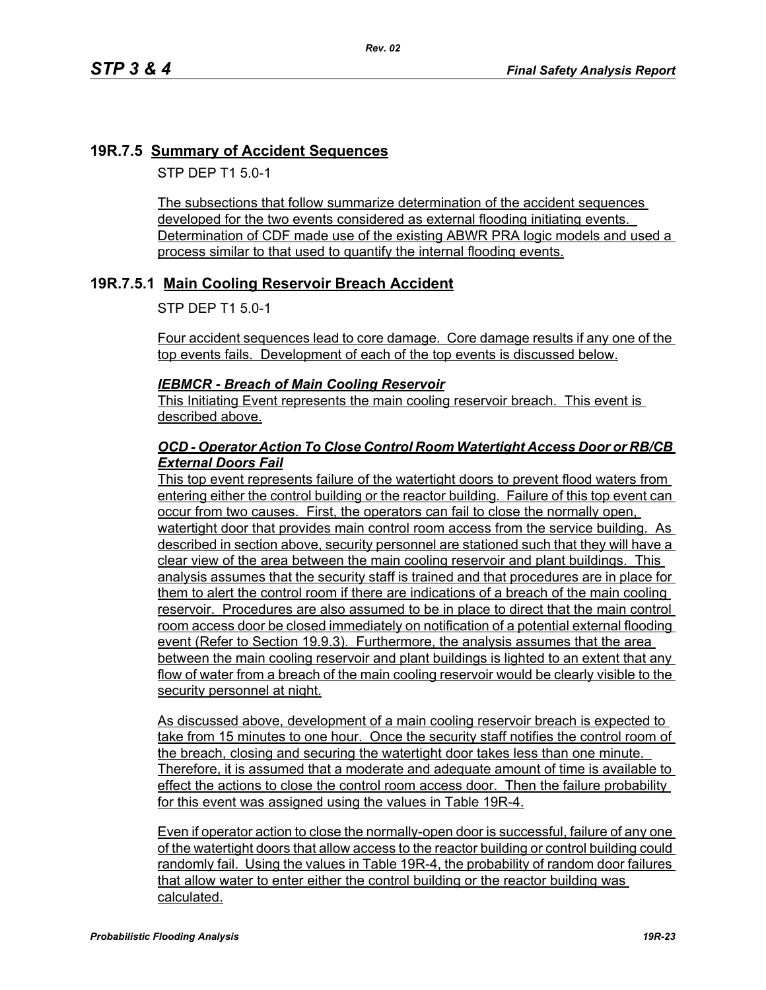### **19R.7.5 Summary of Accident Sequences**

STP DEP T1 5.0-1

The subsections that follow summarize determination of the accident sequences developed for the two events considered as external flooding initiating events. Determination of CDF made use of the existing ABWR PRA logic models and used a process similar to that used to quantify the internal flooding events.

### **19R.7.5.1 Main Cooling Reservoir Breach Accident**

STP DEP T1 5.0-1

Four accident sequences lead to core damage. Core damage results if any one of the top events fails. Development of each of the top events is discussed below.

#### *IEBMCR - Breach of Main Cooling Reservoir*

This Initiating Event represents the main cooling reservoir breach. This event is described above.

#### *OCD - Operator Action To Close Control Room Watertight Access Door or RB/CB External Doors Fail*

This top event represents failure of the watertight doors to prevent flood waters from entering either the control building or the reactor building. Failure of this top event can occur from two causes. First, the operators can fail to close the normally open, watertight door that provides main control room access from the service building. As described in section above, security personnel are stationed such that they will have a clear view of the area between the main cooling reservoir and plant buildings. This analysis assumes that the security staff is trained and that procedures are in place for them to alert the control room if there are indications of a breach of the main cooling reservoir. Procedures are also assumed to be in place to direct that the main control room access door be closed immediately on notification of a potential external flooding event (Refer to Section 19.9.3). Furthermore, the analysis assumes that the area between the main cooling reservoir and plant buildings is lighted to an extent that any flow of water from a breach of the main cooling reservoir would be clearly visible to the security personnel at night.

As discussed above, development of a main cooling reservoir breach is expected to take from 15 minutes to one hour. Once the security staff notifies the control room of the breach, closing and securing the watertight door takes less than one minute. Therefore, it is assumed that a moderate and adequate amount of time is available to effect the actions to close the control room access door. Then the failure probability for this event was assigned using the values in Table 19R-4.

Even if operator action to close the normally-open door is successful, failure of any one of the watertight doors that allow access to the reactor building or control building could randomly fail. Using the values in Table 19R-4, the probability of random door failures that allow water to enter either the control building or the reactor building was calculated.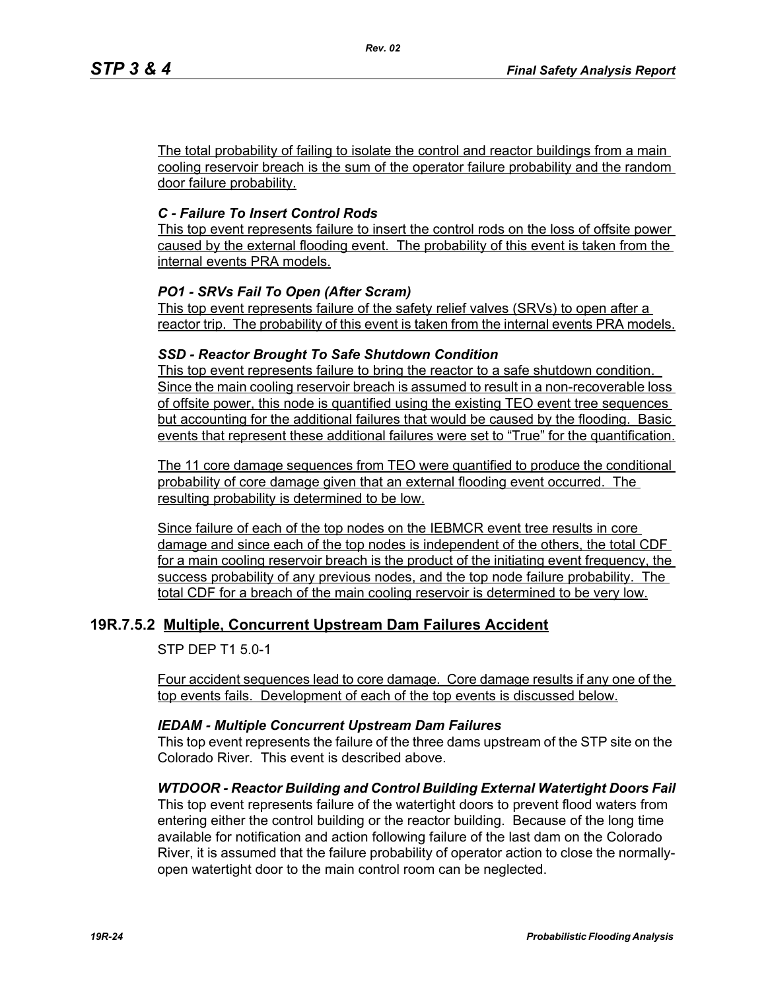The total probability of failing to isolate the control and reactor buildings from a main cooling reservoir breach is the sum of the operator failure probability and the random door failure probability.

## *C - Failure To Insert Control Rods*

This top event represents failure to insert the control rods on the loss of offsite power caused by the external flooding event. The probability of this event is taken from the internal events PRA models.

### *PO1 - SRVs Fail To Open (After Scram)*

This top event represents failure of the safety relief valves (SRVs) to open after a reactor trip. The probability of this event is taken from the internal events PRA models.

### *SSD - Reactor Brought To Safe Shutdown Condition*

This top event represents failure to bring the reactor to a safe shutdown condition. Since the main cooling reservoir breach is assumed to result in a non-recoverable loss of offsite power, this node is quantified using the existing TEO event tree sequences but accounting for the additional failures that would be caused by the flooding. Basic events that represent these additional failures were set to "True" for the quantification.

The 11 core damage sequences from TEO were quantified to produce the conditional probability of core damage given that an external flooding event occurred. The resulting probability is determined to be low.

Since failure of each of the top nodes on the IEBMCR event tree results in core damage and since each of the top nodes is independent of the others, the total CDF for a main cooling reservoir breach is the product of the initiating event frequency, the success probability of any previous nodes, and the top node failure probability. The total CDF for a breach of the main cooling reservoir is determined to be very low.

### **19R.7.5.2 Multiple, Concurrent Upstream Dam Failures Accident**

STP DEP T1 5.0-1

Four accident sequences lead to core damage. Core damage results if any one of the top events fails. Development of each of the top events is discussed below.

#### *IEDAM - Multiple Concurrent Upstream Dam Failures*

This top event represents the failure of the three dams upstream of the STP site on the Colorado River. This event is described above.

#### *WTDOOR - Reactor Building and Control Building External Watertight Doors Fail*

This top event represents failure of the watertight doors to prevent flood waters from entering either the control building or the reactor building. Because of the long time available for notification and action following failure of the last dam on the Colorado River, it is assumed that the failure probability of operator action to close the normallyopen watertight door to the main control room can be neglected.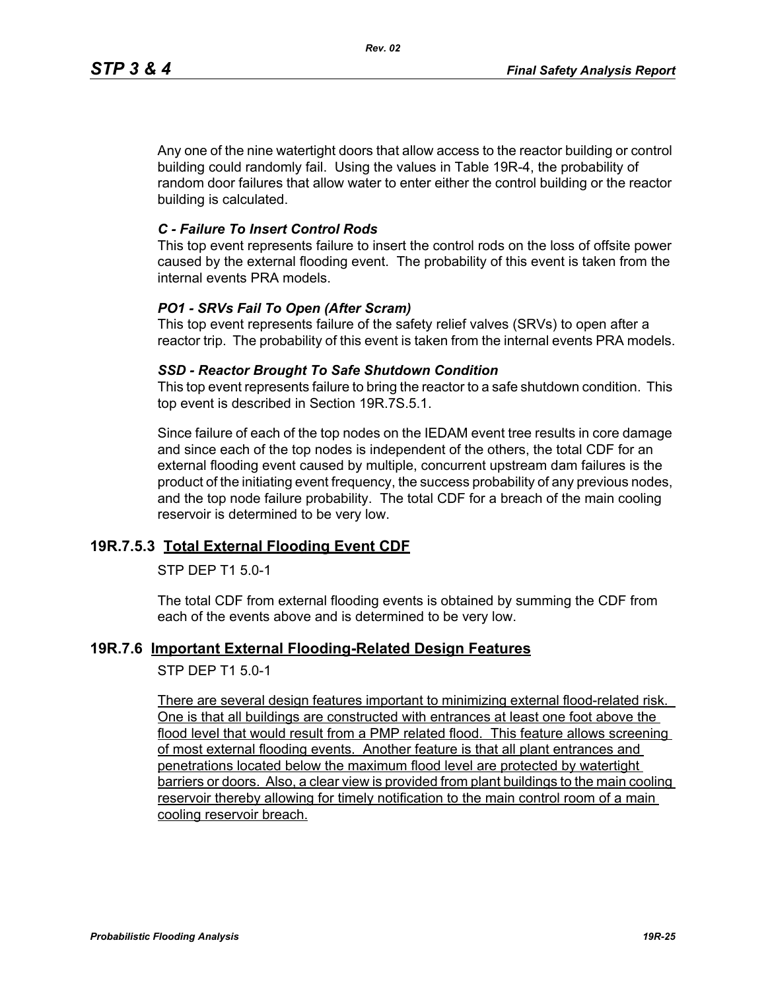Any one of the nine watertight doors that allow access to the reactor building or control building could randomly fail. Using the values in Table 19R-4, the probability of random door failures that allow water to enter either the control building or the reactor building is calculated.

#### *C - Failure To Insert Control Rods*

This top event represents failure to insert the control rods on the loss of offsite power caused by the external flooding event. The probability of this event is taken from the internal events PRA models.

#### *PO1 - SRVs Fail To Open (After Scram)*

This top event represents failure of the safety relief valves (SRVs) to open after a reactor trip. The probability of this event is taken from the internal events PRA models.

#### *SSD - Reactor Brought To Safe Shutdown Condition*

This top event represents failure to bring the reactor to a safe shutdown condition. This top event is described in Section 19R.7S.5.1.

Since failure of each of the top nodes on the IEDAM event tree results in core damage and since each of the top nodes is independent of the others, the total CDF for an external flooding event caused by multiple, concurrent upstream dam failures is the product of the initiating event frequency, the success probability of any previous nodes, and the top node failure probability. The total CDF for a breach of the main cooling reservoir is determined to be very low.

#### **19R.7.5.3 Total External Flooding Event CDF**

#### STP DEP T1 5.0-1

The total CDF from external flooding events is obtained by summing the CDF from each of the events above and is determined to be very low.

#### **19R.7.6 Important External Flooding-Related Design Features**

STP DEP T1 5.0-1

There are several design features important to minimizing external flood-related risk. One is that all buildings are constructed with entrances at least one foot above the flood level that would result from a PMP related flood. This feature allows screening of most external flooding events. Another feature is that all plant entrances and penetrations located below the maximum flood level are protected by watertight barriers or doors. Also, a clear view is provided from plant buildings to the main cooling reservoir thereby allowing for timely notification to the main control room of a main cooling reservoir breach.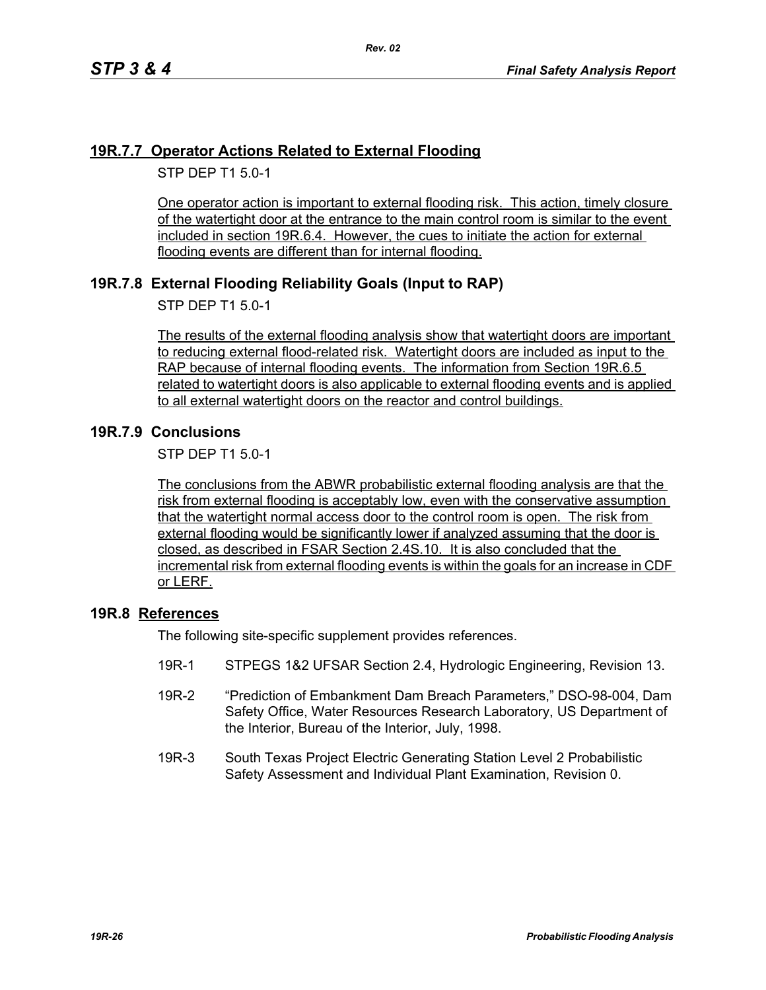## **19R.7.7 Operator Actions Related to External Flooding**

STP DEP T1 5.0-1

One operator action is important to external flooding risk. This action, timely closure of the watertight door at the entrance to the main control room is similar to the event included in section 19R.6.4. However, the cues to initiate the action for external flooding events are different than for internal flooding.

# **19R.7.8 External Flooding Reliability Goals (Input to RAP)**

STP DEP T1 5.0-1

The results of the external flooding analysis show that watertight doors are important to reducing external flood-related risk. Watertight doors are included as input to the RAP because of internal flooding events. The information from Section 19R.6.5 related to watertight doors is also applicable to external flooding events and is applied to all external watertight doors on the reactor and control buildings.

### **19R.7.9 Conclusions**

STP DEP T1 5.0-1

The conclusions from the ABWR probabilistic external flooding analysis are that the risk from external flooding is acceptably low, even with the conservative assumption that the watertight normal access door to the control room is open. The risk from external flooding would be significantly lower if analyzed assuming that the door is closed, as described in FSAR Section 2.4S.10. It is also concluded that the incremental risk from external flooding events is within the goals for an increase in CDF or LERF.

#### **19R.8 References**

The following site-specific supplement provides references.

- 19R-1 STPEGS 1&2 UFSAR Section 2.4, Hydrologic Engineering, Revision 13.
- 19R-2 "Prediction of Embankment Dam Breach Parameters," DSO-98-004, Dam Safety Office, Water Resources Research Laboratory, US Department of the Interior, Bureau of the Interior, July, 1998.
- 19R-3 South Texas Project Electric Generating Station Level 2 Probabilistic Safety Assessment and Individual Plant Examination, Revision 0.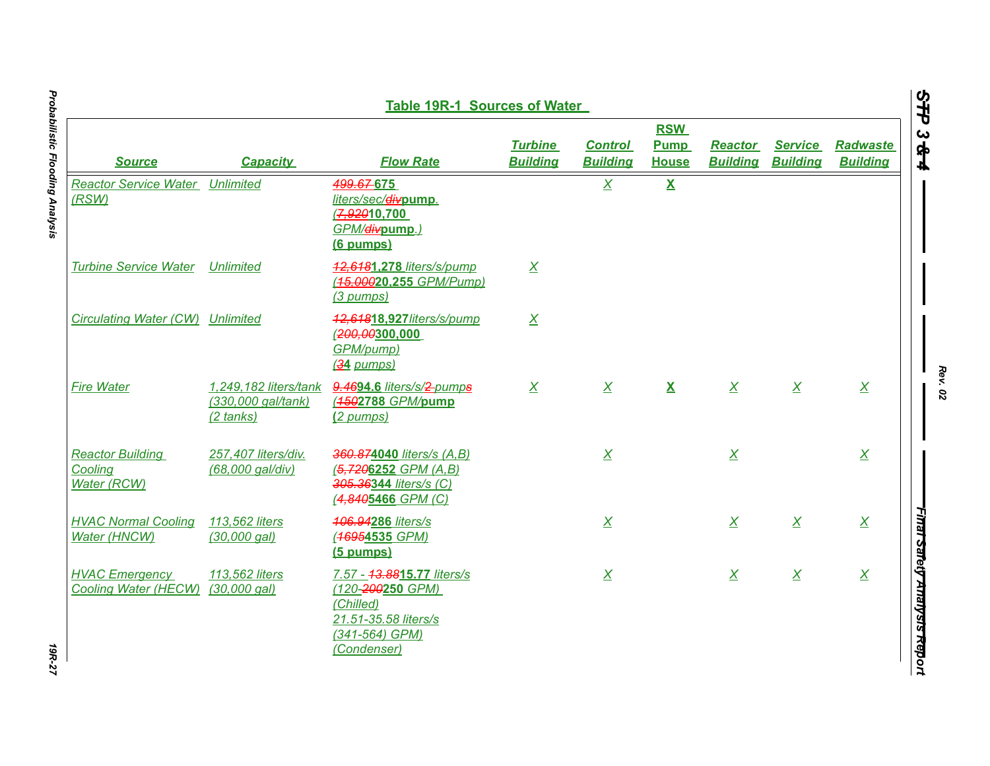| <b>Table 19R-1 Sources of Water</b>                        |                                         |                                                                                                                      |                                   |                                   |                                           |                                   |                                   |                                    |
|------------------------------------------------------------|-----------------------------------------|----------------------------------------------------------------------------------------------------------------------|-----------------------------------|-----------------------------------|-------------------------------------------|-----------------------------------|-----------------------------------|------------------------------------|
| <b>Source</b>                                              | <b>Capacity</b>                         | <b>Flow Rate</b>                                                                                                     | <b>Turbine</b><br><b>Building</b> | <b>Control</b><br><b>Building</b> | <b>RSW</b><br><b>Pump</b><br><b>House</b> | <b>Reactor</b><br><b>Building</b> | <b>Service</b><br><b>Building</b> | <b>Radwaste</b><br><b>Building</b> |
| <b>Reactor Service Water Unlimited</b><br>(RSW)            |                                         | 499.67-675<br>liters/sec/divpump.<br>7,92010,700<br>GPM/divpump.)<br>(6 pumps)                                       |                                   | $\overline{X}$                    | $\mathbf{X}$                              |                                   |                                   |                                    |
| <b>Turbine Service Water</b>                               | <b>Unlimited</b>                        | 42,6481,278 liters/s/pump<br>(15,00020,255 GPM/Pump)<br>(3 pumps)                                                    | $\overline{X}$                    |                                   |                                           |                                   |                                   |                                    |
| Circulating Water (CW) Unlimited                           |                                         | 42,64818,927/iters/s/pump<br>(200, 00300, 000)<br>GPM/pump)<br>(34 pumps)                                            | $\overline{X}$                    |                                   |                                           |                                   |                                   |                                    |
| <b>Fire Water</b>                                          | (330,000 gal/tank)<br>(2 tanks)         | 1,249,182 liters/tank 9.4694.6 liters/s/2-pumps<br>(1502788 GPM/pump<br>(2 pumps)                                    | $\overline{X}$                    | $\overline{X}$                    | $\mathbf{X}$                              | $\overline{X}$                    | $\overline{X}$                    | $\overline{X}$                     |
| <b>Reactor Building</b><br>Cooling<br><b>Water (RCW)</b>   | 257,407 liters/div.<br>(68,000 gal/div) | 360.874040 liters/s (A,B)<br>$(5, 7206252 \text{ GPM } (A, B))$<br>305.36344 liters/s (C)<br>(4,8405466 GPM (C)      |                                   | $\overline{X}$                    |                                           | $\underline{X}$                   |                                   | $\overline{X}$                     |
| <b>HVAC Normal Cooling</b><br><b>Water (HNCW)</b>          | 113,562 liters<br>$(30,000$ gal)        | 406.94286 liters/s<br>(46954535 GPM)<br>(5 pumps)                                                                    |                                   | $\overline{X}$                    |                                           | $\overline{X}$                    | $\overline{X}$                    | $\overline{X}$                     |
| <b>HVAC Emergency</b><br>Cooling Water (HECW) (30,000 gal) | 113,562 liters                          | 7.57 - 43.8815.77 liters/s<br>(120-200250 GPM)<br>(Chilled)<br>21.51-35.58 liters/s<br>(341-564) GPM)<br>(Condenser) |                                   | $\overline{X}$                    |                                           | $\overline{X}$                    | $\overline{X}$                    | $\overline{X}$                     |

19R-27

*Rev. 02*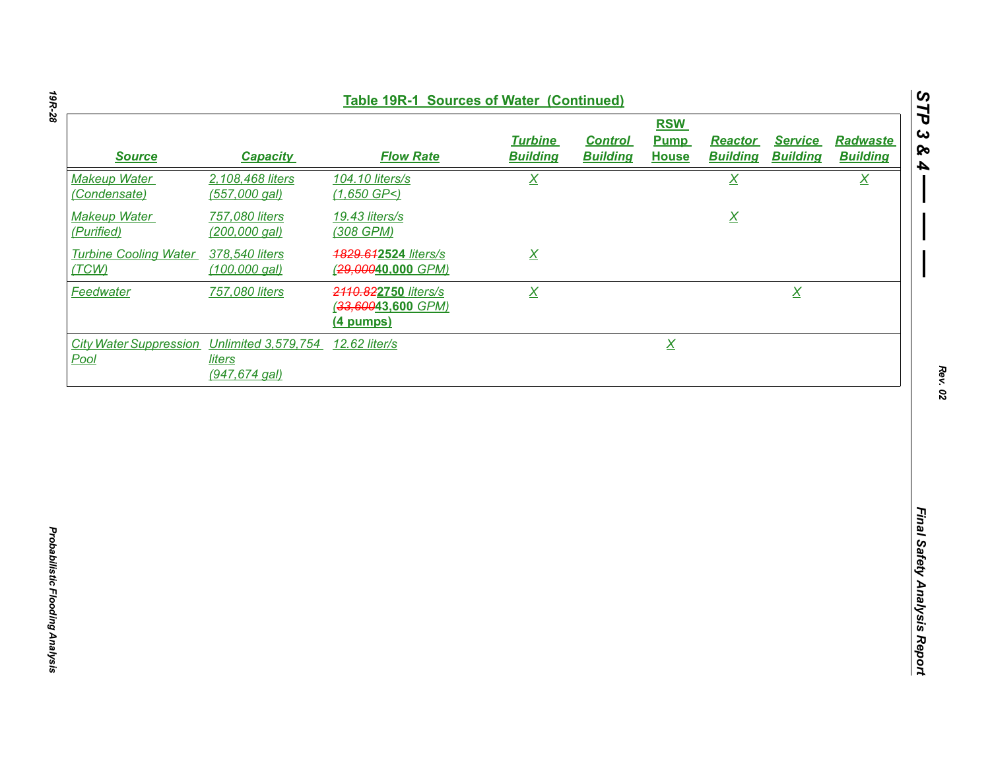| <b>Table 19R-1 Sources of Water (Continued)</b>                  |                                   |                                                         |                                   |                                   |                                           |                                   |                                   |                                    |
|------------------------------------------------------------------|-----------------------------------|---------------------------------------------------------|-----------------------------------|-----------------------------------|-------------------------------------------|-----------------------------------|-----------------------------------|------------------------------------|
| <b>Source</b>                                                    | <b>Capacity</b>                   | <b>Flow Rate</b>                                        | <b>Turbine</b><br><b>Building</b> | <b>Control</b><br><b>Building</b> | <b>RSW</b><br><b>Pump</b><br><b>House</b> | <b>Reactor</b><br><b>Building</b> | <b>Service</b><br><b>Building</b> | <b>Radwaste</b><br><b>Building</b> |
| <b>Makeup Water</b><br>(Condensate)                              | 2,108,468 liters<br>(557,000 gal) | 104.10 liters/s<br>$(1,650$ GP<)                        | $\underline{X}$                   |                                   |                                           | $\underline{X}$                   |                                   | $\underline{X}$                    |
| <b>Makeup Water</b><br>(Purified)                                | 757,080 liters<br>(200,000 gal)   | 19.43 liters/s<br>(308 GPM)                             |                                   |                                   |                                           | $\underline{X}$                   |                                   |                                    |
| <b>Turbine Cooling Water</b><br>(TCW)                            | 378,540 liters<br>(100,000 gal)   | 1829.612524 liters/s<br>(29,00040,000 GPM)              | $\underline{X}$                   |                                   |                                           |                                   |                                   |                                    |
| Feedwater                                                        | 757,080 liters                    | 2110.822750 liters/s<br>(33,60043,600 GPM)<br>(4 pumps) | $\overline{X}$                    |                                   |                                           |                                   | $\underline{X}$                   |                                    |
| City Water Suppression Unlimited 3,579,754 12.62 liter/s<br>Pool | liters<br>$(947, 674$ gal)        |                                                         |                                   |                                   | $\underline{X}$                           |                                   |                                   |                                    |
|                                                                  |                                   |                                                         |                                   |                                   |                                           |                                   |                                   |                                    |
|                                                                  |                                   |                                                         |                                   |                                   |                                           |                                   |                                   |                                    |
|                                                                  |                                   |                                                         |                                   |                                   |                                           |                                   |                                   |                                    |
|                                                                  |                                   |                                                         |                                   |                                   |                                           |                                   |                                   |                                    |
|                                                                  |                                   |                                                         |                                   |                                   |                                           |                                   |                                   |                                    |
|                                                                  |                                   |                                                         |                                   |                                   |                                           |                                   |                                   |                                    |
|                                                                  |                                   |                                                         |                                   |                                   |                                           |                                   |                                   |                                    |
|                                                                  |                                   |                                                         |                                   |                                   |                                           |                                   |                                   |                                    |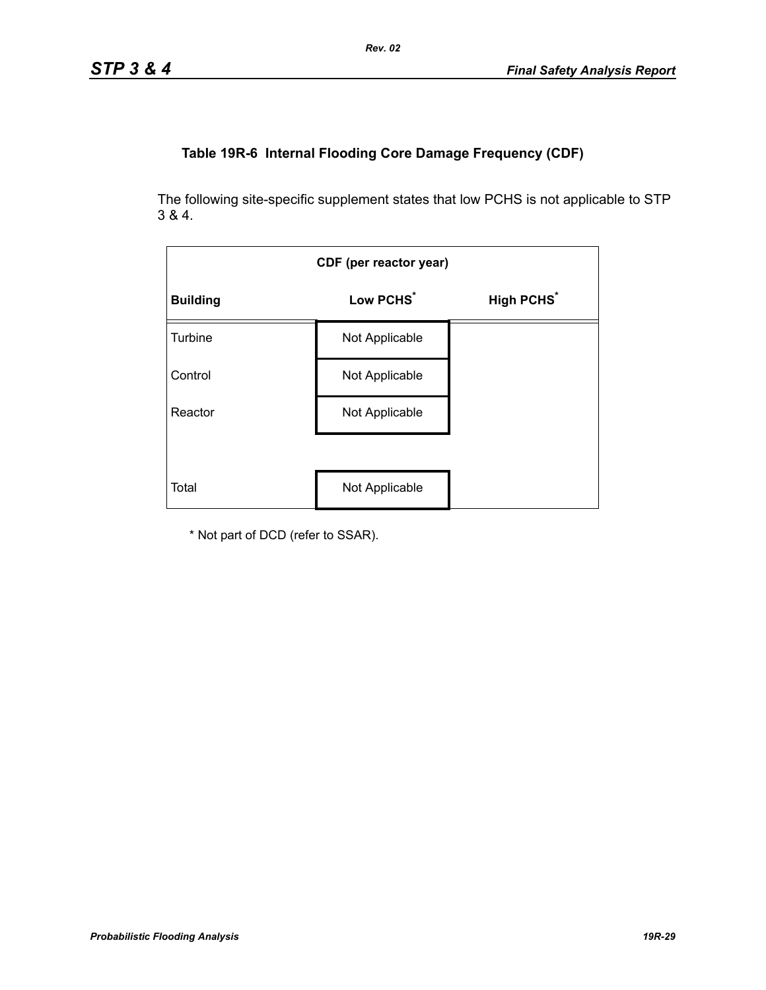# **Table 19R-6 Internal Flooding Core Damage Frequency (CDF)**

The following site-specific supplement states that low PCHS is not applicable to STP 3 & 4.

| CDF (per reactor year) |                       |                              |  |  |  |
|------------------------|-----------------------|------------------------------|--|--|--|
| <b>Building</b>        | Low PCHS <sup>*</sup> | <b>High PCHS<sup>*</sup></b> |  |  |  |
| Turbine                | Not Applicable        |                              |  |  |  |
| Control                | Not Applicable        |                              |  |  |  |
| Reactor                | Not Applicable        |                              |  |  |  |
|                        |                       |                              |  |  |  |
| Total                  | Not Applicable        |                              |  |  |  |

\* Not part of DCD (refer to SSAR).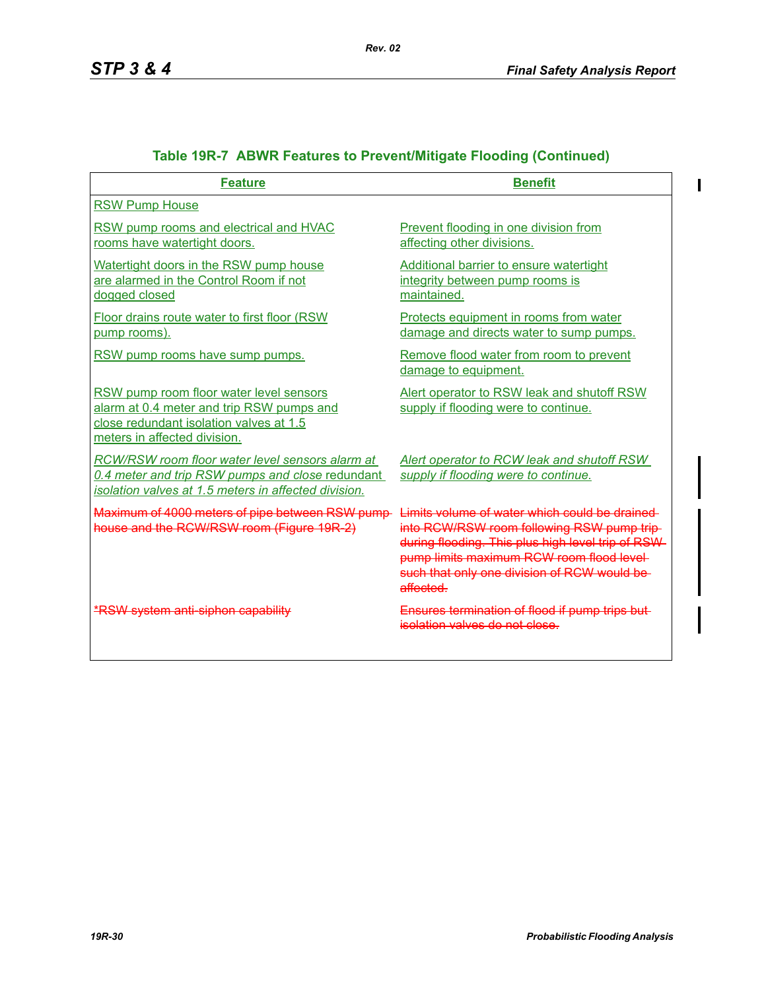$\mathbf{I}$ 

| <b>Feature</b>                                                                                                                                                  | <b>Benefit</b>                                                                                                                                                                                                                                              |
|-----------------------------------------------------------------------------------------------------------------------------------------------------------------|-------------------------------------------------------------------------------------------------------------------------------------------------------------------------------------------------------------------------------------------------------------|
| <b>RSW Pump House</b>                                                                                                                                           |                                                                                                                                                                                                                                                             |
| RSW pump rooms and electrical and HVAC<br>rooms have watertight doors.                                                                                          | Prevent flooding in one division from<br>affecting other divisions.                                                                                                                                                                                         |
| Watertight doors in the RSW pump house<br>are alarmed in the Control Room if not<br>dogged closed                                                               | <b>Additional barrier to ensure watertight</b><br>integrity between pump rooms is<br>maintained.                                                                                                                                                            |
| Floor drains route water to first floor (RSW)<br>pump rooms).                                                                                                   | Protects equipment in rooms from water<br>damage and directs water to sump pumps.                                                                                                                                                                           |
| RSW pump rooms have sump pumps.                                                                                                                                 | Remove flood water from room to prevent<br>damage to equipment.                                                                                                                                                                                             |
| RSW pump room floor water level sensors<br>alarm at 0.4 meter and trip RSW pumps and<br>close redundant isolation valves at 1.5<br>meters in affected division. | Alert operator to RSW leak and shutoff RSW<br>supply if flooding were to continue.                                                                                                                                                                          |
| RCW/RSW room floor water level sensors alarm at<br>0.4 meter and trip RSW pumps and close redundant<br>isolation valves at 1.5 meters in affected division.     | Alert operator to RCW leak and shutoff RSW<br>supply if flooding were to continue.                                                                                                                                                                          |
| Maximum of 4000 meters of pipe between RSW pump-<br>house and the RCW/RSW room (Figure 19R-2)                                                                   | Limits volume of water which could be drained<br>into RCW/RSW room following RSW pump trip-<br>during flooding. This plus high level trip of RSW-<br>pump limits maximum RCW room flood level-<br>such that only one division of RCW would be-<br>affected. |
| <b>*RSW system anti-siphon capability</b>                                                                                                                       | Ensures termination of flood if pump trips but-<br>isolation valves do not close.                                                                                                                                                                           |

# **Table 19R-7 ABWR Features to Prevent/Mitigate Flooding (Continued)**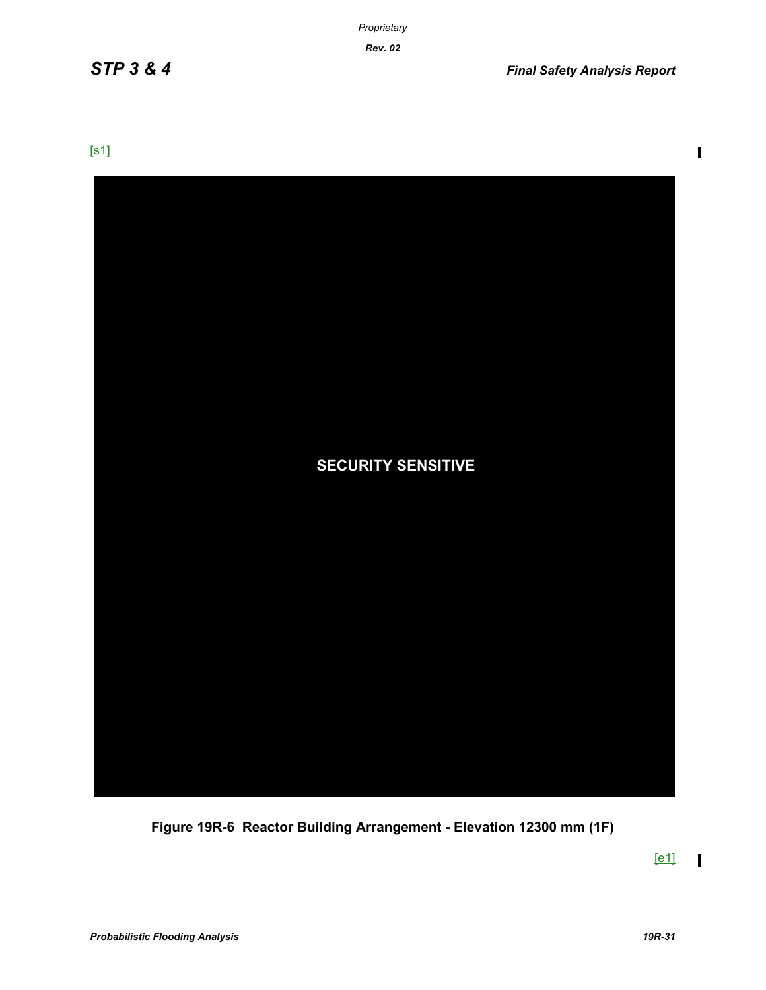*Rev. 02*

[s1]



**Figure 19R-6 Reactor Building Arrangement - Elevation 12300 mm (1F)**

 $[e1]$